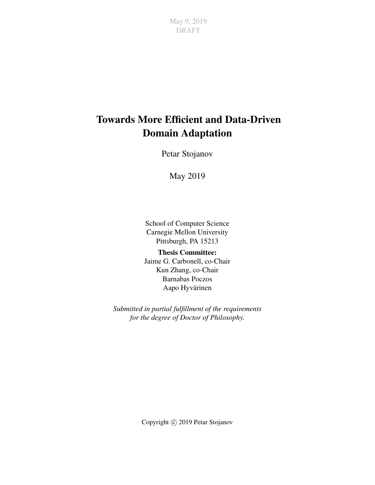## Towards More Efficient and Data-Driven Domain Adaptation

Petar Stojanov

May 2019

School of Computer Science Carnegie Mellon University Pittsburgh, PA 15213

Thesis Committee: Jaime G. Carbonell, co-Chair Kun Zhang, co-Chair Barnabas Poczos Aapo Hyvärinen

*Submitted in partial fulfillment of the requirements for the degree of Doctor of Philosophy.*

Copyright  $\odot$  2019 Petar Stojanov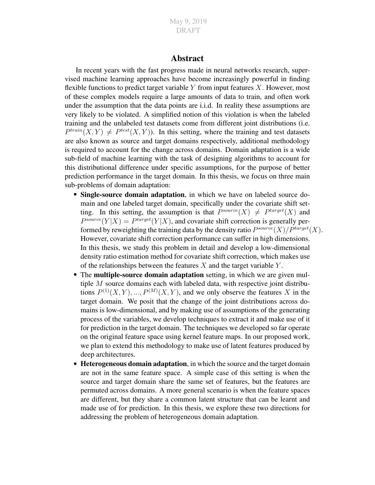#### Abstract

In recent years with the fast progress made in neural networks research, supervised machine learning approaches have become increasingly powerful in finding flexible functions to predict target variable  $Y$  from input features  $X$ . However, most of these complex models require a large amounts of data to train, and often work under the assumption that the data points are i.i.d. In reality these assumptions are very likely to be violated. A simplified notion of this violation is when the labeled training and the unlabeled test datasets come from different joint distributions (i.e.  $P^{train}(X, Y) \neq P^{test}(X, Y)$ . In this setting, where the training and test datasets are also known as source and target domains respectively, additional methodology is required to account for the change across domains. Domain adaptation is a wide sub-field of machine learning with the task of designing algorithms to account for this distributional difference under specific assumptions, for the purpose of better prediction performance in the target domain. In this thesis, we focus on three main sub-problems of domain adaptation:

- Single-source domain adaptation, in which we have on labeled source domain and one labeled target domain, specifically under the covariate shift setting. In this setting, the assumption is that  $P^{source}(X) \neq P^{target}(X)$  and  $P^{source}(Y|X) = P^{target}(Y|X)$ , and covariate shift correction is generally performed by reweighting the training data by the density ratio  $P^{source}(X)/P^{target}(X)$ . However, covariate shift correction performance can suffer in high dimensions. In this thesis, we study this problem in detail and develop a low-dimensional density ratio estimation method for covariate shift correction, which makes use of the relationships between the features  $X$  and the target variable  $Y$ .
- The multiple-source domain adaptation setting, in which we are given multiple M source domains each with labeled data, with respective joint distributions  $P^{(1)}(X, Y), ..., P^{(M)}(X, Y)$ , and we only observe the features X in the target domain. We posit that the change of the joint distributions across domains is low-dimensional, and by making use of assumptions of the generating process of the variables, we develop techniques to extract it and make use of it for prediction in the target domain. The techniques we developed so far operate on the original feature space using kernel feature maps. In our proposed work, we plan to extend this methodology to make use of latent features produced by deep architectures.
- Heterogeneous domain adaptation, in which the source and the target domain are not in the same feature space. A simple case of this setting is when the source and target domain share the same set of features, but the features are permuted across domains. A more general scenario is when the feature spaces are different, but they share a common latent structure that can be learnt and made use of for prediction. In this thesis, we explore these two directions for addressing the problem of heterogeneous domain adaptation.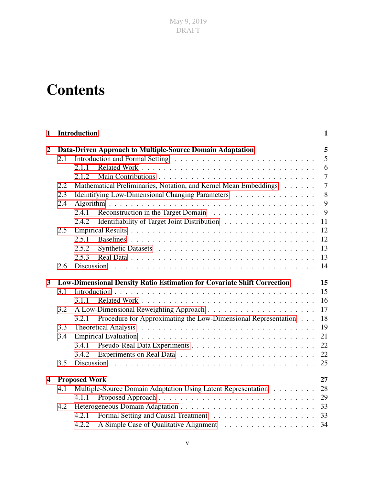# **Contents**

| $\mathbf{1}$            |     | <b>Introduction</b>  |                                                                         | $\mathbf{1}$   |
|-------------------------|-----|----------------------|-------------------------------------------------------------------------|----------------|
| $\overline{2}$          |     |                      | Data-Driven Approach to Multiple-Source Domain Adaptation               | 5              |
|                         | 2.1 |                      |                                                                         | 5              |
|                         |     | 2.1.1                |                                                                         | 6              |
|                         |     | 2.1.2                |                                                                         | $\overline{7}$ |
|                         | 2.2 |                      | Mathematical Preliminaries, Notation, and Kernel Mean Embeddings        | $\overline{7}$ |
|                         | 2.3 |                      | Ideintifying Low-Dimensional Changing Parameters                        | 8              |
|                         | 2.4 |                      |                                                                         | 9              |
|                         |     | 2.4.1                |                                                                         | 9              |
|                         |     | 2.4.2                | Identifiability of Target Joint Distribution                            | 11             |
|                         | 2.5 |                      |                                                                         | 12             |
|                         |     | 2.5.1                |                                                                         | 12             |
|                         |     | 2.5.2                |                                                                         | 13             |
|                         |     | 2.5.3                |                                                                         | 13             |
|                         | 2.6 |                      |                                                                         | 14             |
|                         |     |                      |                                                                         |                |
| $\mathbf{3}$            |     |                      | Low-Dimensional Density Ratio Estimation for Covariate Shift Correction | 15             |
|                         | 3.1 |                      |                                                                         | 15             |
|                         |     | 3.1.1                |                                                                         | 16             |
|                         | 3.2 |                      |                                                                         | 17             |
|                         |     | 3.2.1                | Procedure for Approximating the Low-Dimensional Representation          | 18             |
|                         | 3.3 |                      |                                                                         | 19             |
|                         | 3.4 |                      |                                                                         | 21             |
|                         |     |                      |                                                                         | 22             |
|                         |     | 3.4.2                |                                                                         | 22             |
|                         | 3.5 |                      |                                                                         | 25             |
| $\overline{\mathbf{4}}$ |     | <b>Proposed Work</b> |                                                                         | 27             |
|                         | 4.1 |                      | Multiple-Source Domain Adaptation Using Latent Representation           | 28             |
|                         |     | 4.1.1                |                                                                         | 29             |
|                         | 4.2 |                      |                                                                         | 33             |
|                         |     | 4.2.1                |                                                                         |                |
|                         |     | 4.2.2                |                                                                         | 34             |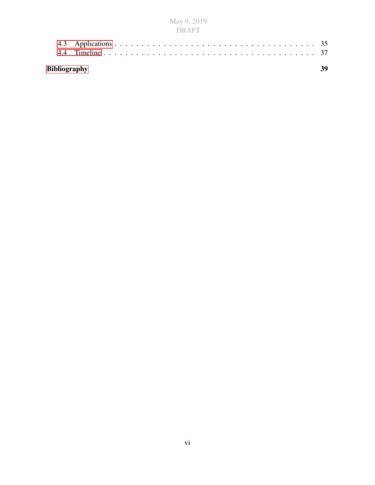| M<br>l 91 |    | -9, 201 |
|-----------|----|---------|
|           | RΔ |         |

| Bibliography |  |  |  |  |  |
|--------------|--|--|--|--|--|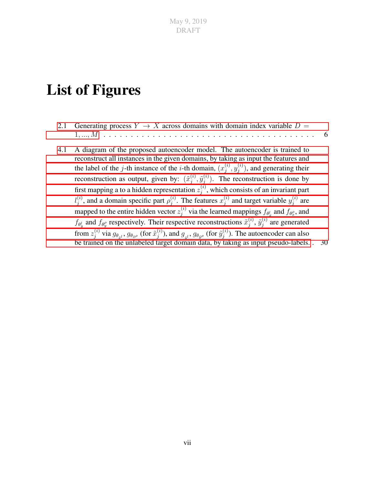## List of Figures

- 2.1 Generating process  $Y \to X$  [across domains with domain index variable](#page-15-1)  $D =$ 1[, ..., M](#page-15-1) . . . . . . . . . . . . . . . . . . . . . . . . . . . . . . . . . . . . . . . 6
- [4.1 A diagram of the proposed autoencoder model. The autoencoder is trained to](#page-39-0) [reconstruct all instances in the given domains, by taking as input the features and](#page-39-0) the label of the j-th instance of the *i*-th domain,  $(x_i^{(i)})$  $\displaystyle{ \stackrel{(i)}{j},y_j^{(i)}}$  $j^{(i)}$ )[, and generating their](#page-39-0) [reconstruction as output, given by:](#page-39-0)  $(\tilde{x}_i^{(i)})$  $_{j}^{\left( i\right) },\tilde{y}_{j}^{\left( i\right) }$  $j^{(i)}$ ). The reconstruction is done by [first mapping a to a hidden representation](#page-39-0)  $z_i^{(i)}$  $j^{(i)}$ , which consists of an invariant part  $l_i^{(i)}$  $j^{(i)}$ [, and a domain specific part](#page-39-0)  $\rho_j^{(i)}$  $j^{(i)}$ . The features  $x_j^{(i)}$  $j^{(i)}_j$  and target variable  $y_j^{(i)}$  $j^{(i)}$  are [mapped to the entire hidden vector](#page-39-0)  $z_i^{(i)}$  $j^{(i)}$  via the learned mappings  $f_{\theta_x^l}$  and  $f_{\theta_x^o}$ , and  $f_{\theta_y^l}$  and  $f_{\theta_y^{\rho}}$  [respectively. Their respective reconstructions](#page-39-0)  $\tilde{x}_j^{(i)}$  $_{j}^{\left( i\right) },\,\tilde{y}_{j}^{\left( i\right) }$  $j^{(i)}$  are generated from  $z_i^{(i)}$  $j^{(i)}$  via  $g_{\theta_{\tilde{x}^l}}, g_{\theta_{\tilde{x}^\rho}}$  (for  $\tilde{x}^{(i)}_j$  $j^{(i)}$ ), and  $g_{_{\tilde{y}^l}},$   $g_{\theta_{\tilde{y}^\rho}}$  (for  $\tilde{y}_j^{(i)}$  $j^{(i)}$ [\). The autoencoder can also](#page-39-0) [be trained on the unlabeled target domain data, by taking as input pseudo-labels.](#page-39-0) . 30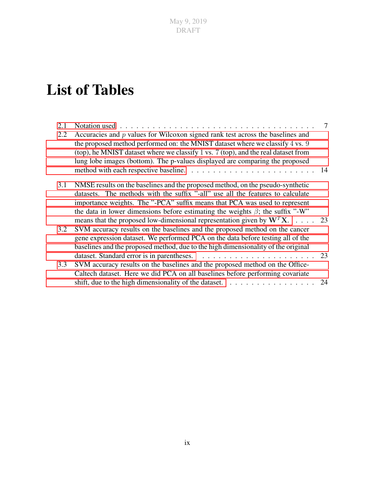## List of Tables

| 2.1 | Notation used $\ldots \ldots \ldots \ldots \ldots \ldots \ldots \ldots \ldots \ldots \ldots \ldots$                                                                                                                                                                                                                                          | 7  |
|-----|----------------------------------------------------------------------------------------------------------------------------------------------------------------------------------------------------------------------------------------------------------------------------------------------------------------------------------------------|----|
| 2.2 | Accuracies and $p$ values for Wilcoxon signed rank test across the baselines and<br>the proposed method performed on: the MNIST dataset where we classify 4 vs. 9<br>(top), he MNIST dataset where we classify 1 vs. 7 (top), and the real dataset from<br>lung lobe images (bottom). The p-values displayed are comparing the proposed      |    |
| 3.1 | NMSE results on the baselines and the proposed method, on the pseudo-synthetic<br>datasets. The methods with the suffix "-all" use all the features to calculate<br>importance weights. The "-PCA" suffix means that PCA was used to represent<br>the data in lower dimensions before estimating the weights $\hat{\beta}$ ; the suffix "-W" |    |
| 3.2 | means that the proposed low-dimensional representation given by $W^T X$ .  . 23<br>SVM accuracy results on the baselines and the proposed method on the cancer<br>gene expression dataset. We performed PCA on the data before testing all of the<br>baselines and the proposed method, due to the high dimensionality of the original       |    |
| 3.3 | SVM accuracy results on the baselines and the proposed method on the Office-<br>Caltech dataset. Here we did PCA on all baselines before performing covariate                                                                                                                                                                                |    |
|     |                                                                                                                                                                                                                                                                                                                                              | 24 |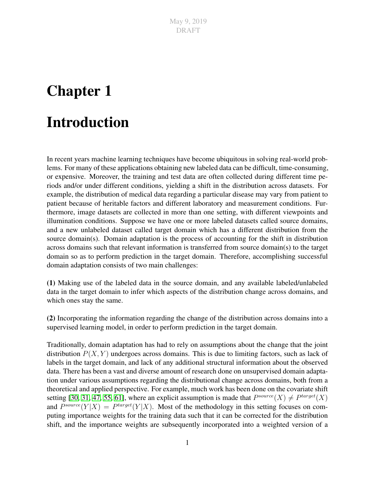# <span id="page-10-0"></span>Chapter 1

## Introduction

In recent years machine learning techniques have become ubiquitous in solving real-world problems. For many of these applications obtaining new labeled data can be difficult, time-consuming, or expensive. Moreover, the training and test data are often collected during different time periods and/or under different conditions, yielding a shift in the distribution across datasets. For example, the distribution of medical data regarding a particular disease may vary from patient to patient because of heritable factors and different laboratory and measurement conditions. Furthermore, image datasets are collected in more than one setting, with different viewpoints and illumination conditions. Suppose we have one or more labeled datasets called source domains, and a new unlabeled dataset called target domain which has a different distribution from the source domain(s). Domain adaptation is the process of accounting for the shift in distribution across domains such that relevant information is transferred from source domain(s) to the target domain so as to perform prediction in the target domain. Therefore, accomplishing successful domain adaptation consists of two main challenges:

(1) Making use of the labeled data in the source domain, and any available labeled/unlabeled data in the target domain to infer which aspects of the distribution change across domains, and which ones stay the same.

(2) Incorporating the information regarding the change of the distribution across domains into a supervised learning model, in order to perform prediction in the target domain.

Traditionally, domain adaptation has had to rely on assumptions about the change that the joint distribution  $P(X, Y)$  undergoes across domains. This is due to limiting factors, such as lack of labels in the target domain, and lack of any additional structural information about the observed data. There has been a vast and diverse amount of research done on unsupervised domain adaptation under various assumptions regarding the distributional change across domains, both from a theoretical and applied perspective. For example, much work has been done on the covariate shift setting [\[30,](#page-50-0) [31,](#page-50-1) [47,](#page-51-0) [55,](#page-52-0) [61\]](#page-52-1), where an explicit assumption is made that  $P^{source}(X) \neq P^{target}(X)$ and  $P^{source}(Y|X) = P^{target}(Y|X)$ . Most of the methodology in this setting focuses on computing importance weights for the training data such that it can be corrected for the distribution shift, and the importance weights are subsequently incorporated into a weighted version of a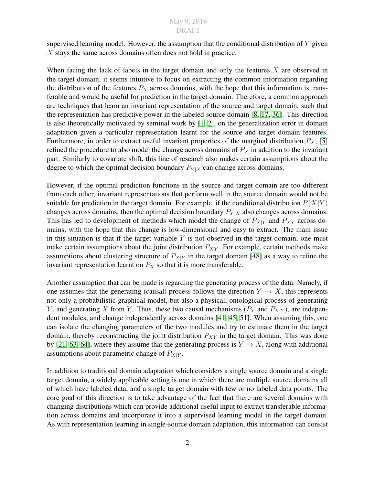supervised learning model. However, the assumption that the conditional distribution of  $Y$  given X stays the same across domains often does not hold in practice.

When facing the lack of labels in the target domain and only the features  $X$  are observed in the target domain, it seems intuitive to focus on extracting the common information regarding the distribution of the features  $P_X$  across domains, with the hope that this information is transferable and would be useful for prediction in the target domain. Therefore, a common approach are techniques that learn an invariant representation of the source and target domain, such that the representation has predictive power in the labeled source domain [\[8,](#page-48-1) [17,](#page-49-0) [36\]](#page-50-2). This direction is also theoretically motivated by seminal work by [\[1,](#page-48-2) [2\]](#page-48-3), on the generalization error in domain adaptation given a particular representation learnt for the source and target domain features. Furthermore, in order to extract useful invariant properties of the marginal distribution  $P_X$ , [\[5\]](#page-48-4) refined the procedure to also model the change across domains of  $P<sub>X</sub>$  in addition to the invariant part. Similarly to covariate shift, this line of research also makes certain assumptions about the degree to which the optimal decision boundary  $P_{Y|X}$  can change across domains.

However, if the optimal prediction functions in the source and target domain are too different from each other, invariant representations that perform well in the source domain would not be suitable for prediction in the target domain. For example, if the conditional distribution  $P(X|Y)$ changes across domains, then the optimal decision boundary  $P_{Y|X}$  also changes across domains. This has led to development of methods which model the change of  $P_{X|Y}$  and  $P_{XY}$  across domains, with the hope that this change is low-dimensional and easy to extract. The main issue in this situation is that if the target variable  $Y$  is not observed in the target domain, one must make certain assumptions about the joint distribution  $P_{XY}$ . For example, certain methods make assumptions about clustering structure of  $P_{X|Y}$  in the target domain [\[48\]](#page-51-1) as a way to refine the invariant representation learnt on  $P_X$  so that it is more transferable.

Another assumption that can be made is regarding the generating process of the data. Namely, if one assumes that the generating (causal) process follows the direction  $Y \to X$ , this represents not only a probabilistic graphical model, but also a physical, ontological process of generating Y, and generating X from Y. Thus, these two causal mechanisms ( $P_Y$  and  $P_{X|Y}$ ), are independent modules, and change independently across domains [\[41,](#page-51-2) [45,](#page-51-3) [51\]](#page-51-4). When assuming this, one can isolate the changing parameters of the two modules and try to estimate them in the target domain, thereby reconstructing the joint distribution  $P_{XY}$  in the target domain. This was done by [\[21,](#page-49-1) [63,](#page-52-2) [64\]](#page-52-3), where they assume that the generating process is  $Y \to X$ , along with additional assumptions about parametric change of  $P_{X|Y}$ .

In addition to traditional domain adaptation which considers a single source domain and a single target domain, a widely applicable setting is one in which there are multiple source domains all of which have labeled data, and a single target domain with few or no labeled data points. The core goal of this direction is to take advantage of the fact that there are several domains with changing distributions which can provide additional useful input to extract transferable information across domains and incorporate it into a supervised learning model in the target domain. As with representation learning in single-source domain adaptation, this information can consist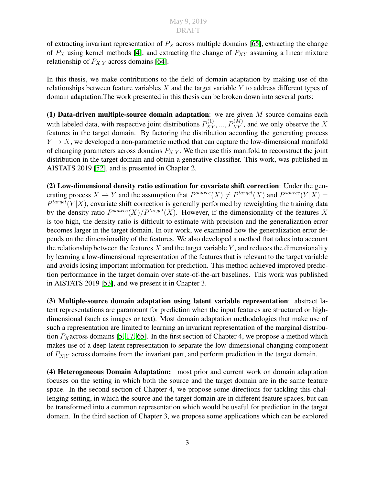of extracting invariant representation of  $P_X$  across multiple domains [\[65\]](#page-52-4), extracting the change of  $P_X$  using kernel methods [\[4\]](#page-48-5), and extracting the change of  $P_{XY}$  assuming a linear mixture relationship of  $P_{X|Y}$  across domains [\[64\]](#page-52-3).

In this thesis, we make contributions to the field of domain adaptation by making use of the relationships between feature variables  $X$  and the target variable  $Y$  to address different types of domain adaptation.The work presented in this thesis can be broken down into several parts:

(1) Data-driven multiple-source domain adaptation: we are given  $M$  source domains each with labeled data, with respective joint distributions  $P_{XY}^{(1)}, ..., P_{XY}^{(M)}$ , and we only observe the X features in the target domain. By factoring the distribution according the generating process  $Y \to X$ , we developed a non-parametric method that can capture the low-dimensional manifold of changing parameters across domains  $P_{X|Y}$ . We then use this manifold to reconstruct the joint distribution in the target domain and obtain a generative classifier. This work, was published in AISTATS 2019 [\[52\]](#page-51-5), and is presented in Chapter 2.

(2) Low-dimensional density ratio estimation for covariate shift correction: Under the generating process  $X \to Y$  and the assumption that  $P^{source}(X) \neq P^{target}(X)$  and  $P^{source}(Y|X) =$  $P^{target}(Y|X)$ , covariate shift correction is generally performed by reweighting the training data by the density ratio  $P^{source}(X)/P^{target}(X)$ . However, if the dimensionality of the features X is too high, the density ratio is difficult to estimate with precision and the generalization error becomes larger in the target domain. In our work, we examined how the generalization error depends on the dimensionality of the features. We also developed a method that takes into account the relationship between the features  $X$  and the target variable  $Y$ , and reduces the dimensionality by learning a low-dimensional representation of the features that is relevant to the target variable and avoids losing important information for prediction. This method achieved improved prediction performance in the target domain over state-of-the-art baselines. This work was published in AISTATS 2019 [\[53\]](#page-52-5), and we present it in Chapter 3.

(3) Multiple-source domain adaptation using latent variable representation: abstract latent representations are paramount for prediction when the input features are structured or highdimensional (such as images or text). Most domain adaptation methodologies that make use of such a representation are limited to learning an invariant representation of the marginal distribution  $P_X$  across domains [\[5,](#page-48-4) [17,](#page-49-0) [65\]](#page-52-4). In the first section of Chapter 4, we propose a method which makes use of a deep latent representation to separate the low-dimensional changing component of  $P_{X|Y}$  across domains from the invariant part, and perform prediction in the target domain.

(4) Heterogeneous Domain Adaptation: most prior and current work on domain adaptation focuses on the setting in which both the source and the target domain are in the same feature space. In the second section of Chapter 4, we propose some directions for tackling this challenging setting, in which the source and the target domain are in different feature spaces, but can be transformed into a common representation which would be useful for prediction in the target domain. In the third section of Chapter 3, we propose some applications which can be explored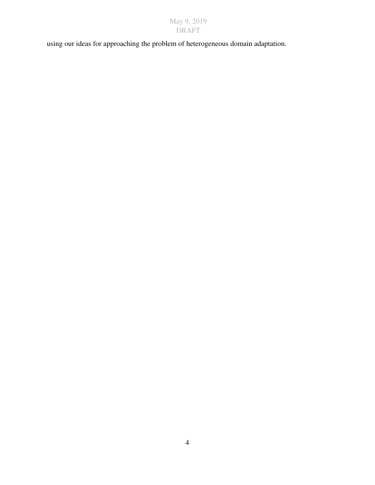using our ideas for approaching the problem of heterogeneous domain adaptation.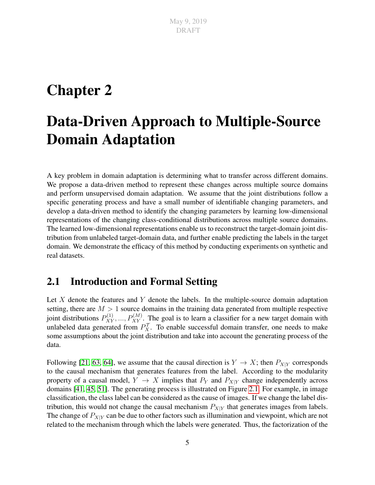## <span id="page-14-0"></span>Chapter 2

## Data-Driven Approach to Multiple-Source Domain Adaptation

A key problem in domain adaptation is determining what to transfer across different domains. We propose a data-driven method to represent these changes across multiple source domains and perform unsupervised domain adaptation. We assume that the joint distributions follow a specific generating process and have a small number of identifiable changing parameters, and develop a data-driven method to identify the changing parameters by learning low-dimensional representations of the changing class-conditional distributions across multiple source domains. The learned low-dimensional representations enable us to reconstruct the target-domain joint distribution from unlabeled target-domain data, and further enable predicting the labels in the target domain. We demonstrate the efficacy of this method by conducting experiments on synthetic and real datasets.

### <span id="page-14-1"></span>2.1 Introduction and Formal Setting

Let  $X$  denote the features and  $Y$  denote the labels. In the multiple-source domain adaptation setting, there are  $M > 1$  source domains in the training data generated from multiple respective joint distributions  $P_{XY}^{(1)},...,P_{XY}^{(M)}$ . The goal is to learn a classifier for a new target domain with unlabeled data generated from  $P_X^{\mathcal{T}}$ . To enable successful domain transfer, one needs to make some assumptions about the joint distribution and take into account the generating process of the data.

Following [\[21,](#page-49-1) [63,](#page-52-2) [64\]](#page-52-3), we assume that the causal direction is  $Y \to X$ ; then  $P_{X|Y}$  corresponds to the causal mechanism that generates features from the label. According to the modularity property of a causal model,  $Y \to X$  implies that  $P_Y$  and  $P_{X|Y}$  change independently across domains [\[41,](#page-51-2) [45,](#page-51-3) [51\]](#page-51-4). The generating process is illustrated on Figure [2.1.](#page-15-1) For example, in image classification, the class label can be considered as the cause of images. If we change the label distribution, this would not change the causal mechanism  $P_{X|Y}$  that generates images from labels. The change of  $P_{X|Y}$  can be due to other factors such as illumination and viewpoint, which are not related to the mechanism through which the labels were generated. Thus, the factorization of the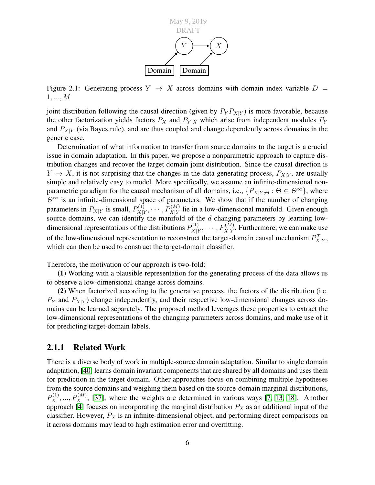<span id="page-15-1"></span>

Figure 2.1: Generating process  $Y \rightarrow X$  across domains with domain index variable  $D =$ 1, ..., M

joint distribution following the causal direction (given by  $P_Y P_{X|Y}$ ) is more favorable, because the other factorization yields factors  $P_X$  and  $P_{Y|X}$  which arise from independent modules  $P_Y$ and  $P_{X|Y}$  (via Bayes rule), and are thus coupled and change dependently across domains in the generic case.

Determination of what information to transfer from source domains to the target is a crucial issue in domain adaptation. In this paper, we propose a nonparametric approach to capture distribution changes and recover the target domain joint distribution. Since the causal direction is  $Y \to X$ , it is not surprising that the changes in the data generating process,  $P_{X|Y}$ , are usually simple and relatively easy to model. More specifically, we assume an infinite-dimensional nonparametric paradigm for the causal mechanism of all domains, i.e.,  $\{P_{X|Y|\Theta} : \Theta \in \Theta^{\infty}\}\$ , where  $\Theta^{\infty}$  is an infinite-dimensional space of parameters. We show that if the number of changing parameters in  $P_{X|Y}$  is small,  $P_{X|Y}^{(1)}$  $X|Y(X|Y, \cdots, P(X|Y)$  lie in a low-dimensional manifold. Given enough source domains, we can identify the manifold of the  $d$  changing parameters by learning lowdimensional representations of the distributions  $P_{X|Y}^{(1)}$  $X|Y \rangle^{(1)}$ ,  $\cdots$  ,  $P_{X|Y}^{(M)}$ . Furthermore, we can make use of the low-dimensional representation to reconstruct the target-domain causal mechanism  $P^{\mathcal{T}}_{X|Y}$ , which can then be used to construct the target-domain classifier.

Therefore, the motivation of our approach is two-fold:

(1) Working with a plausible representation for the generating process of the data allows us to observe a low-dimensional change across domains.

(2) When factorized according to the generative process, the factors of the distribution (i.e.  $P_Y$  and  $P_{X|Y}$ ) change independently, and their respective low-dimensional changes across domains can be learned separately. The proposed method leverages these properties to extract the low-dimensional representations of the changing parameters across domains, and make use of it for predicting target-domain labels.

#### <span id="page-15-0"></span>2.1.1 Related Work

There is a diverse body of work in multiple-source domain adaptation. Similar to single domain adaptation, [\[40\]](#page-51-6) learns domain invariant components that are shared by all domains and uses them for prediction in the target domain. Other approaches focus on combining multiple hypotheses from the source domains and weighing them based on the source-domain marginal distributions,  $P_X^{(1)},...,P_X^{(M)}$ , [\[37\]](#page-50-3), where the weights are determined in various ways [\[7,](#page-48-6) [13,](#page-49-2) [18\]](#page-49-3). Another approach [\[4\]](#page-48-5) focuses on incorporating the marginal distribution  $P_X$  as an additional input of the classifier. However,  $P_X$  is an infinite-dimensional object, and performing direct comparisons on it across domains may lead to high estimation error and overfitting.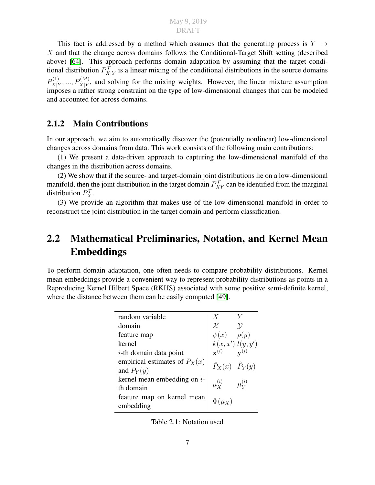This fact is addressed by a method which assumes that the generating process is  $Y \rightarrow$ X and that the change across domains follows the Conditional-Target Shift setting (described above) [\[64\]](#page-52-3). This approach performs domain adaptation by assuming that the target conditional distribution  $P^{\mathcal{T}}_{X|Y}$  is a linear mixing of the conditional distributions in the source domains  $P_{X|Y}^{(1)}$  $X|Y_1, \ldots, P_{X|Y}^{(M)}$ , and solving for the mixing weights. However, the linear mixture assumption imposes a rather strong constraint on the type of low-dimensional changes that can be modeled and accounted for across domains.

#### <span id="page-16-0"></span>2.1.2 Main Contributions

Ġ

In our approach, we aim to automatically discover the (potentially nonlinear) low-dimensional changes across domains from data. This work consists of the following main contributions:

(1) We present a data-driven approach to capturing the low-dimensional manifold of the changes in the distribution across domains.

(2) We show that if the source- and target-domain joint distributions lie on a low-dimensional manifold, then the joint distribution in the target domain  $P_{XY}^{\mathcal{T}}$  can be identified from the marginal distribution  $P_X^{\mathcal{T}}$ .

(3) We provide an algorithm that makes use of the low-dimensional manifold in order to reconstruct the joint distribution in the target domain and perform classification.

## <span id="page-16-1"></span>2.2 Mathematical Preliminaries, Notation, and Kernel Mean Embeddings

To perform domain adaptation, one often needs to compare probability distributions. Kernel mean embeddings provide a convenient way to represent probability distributions as points in a Reproducing Kernel Hilbert Space (RKHS) associated with some positive semi-definite kernel, where the distance between them can be easily computed [\[49\]](#page-51-7).

| random variable                 | X                                                              |                  |
|---------------------------------|----------------------------------------------------------------|------------------|
| domain                          | $\mathcal{X}$                                                  | $\mathcal V$     |
| feature map                     | $\psi(x)$ $\rho(y)$                                            |                  |
| kernel                          | $k(x, x')\; l(y, y')$<br>$\mathbf{x}^{(i)}$ $\mathbf{v}^{(i)}$ |                  |
| $i$ -th domain data point       |                                                                |                  |
| empirical estimates of $P_X(x)$ | $\hat{P}_X(x)$ $\hat{P}_Y(y)$                                  |                  |
| and $P_Y(y)$                    |                                                                |                  |
| kernel mean embedding on $i$ -  | $\mu_{\mathbf{v}}^{(i)}$                                       | $\mu_{xx}^{(i)}$ |
| th domain                       |                                                                |                  |
| feature map on kernel mean      | $\Phi(\mu_X)$                                                  |                  |
| embedding                       |                                                                |                  |

<span id="page-16-2"></span>Table 2.1: Notation used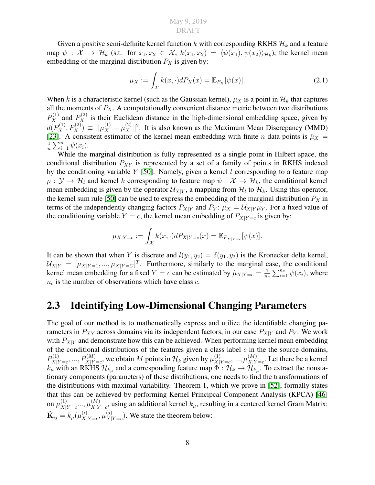Given a positive semi-definite kernel function k with corresponding RKHS  $\mathcal{H}_k$  and a feature map  $\psi$  :  $\mathcal{X} \to \mathcal{H}_k$  (s.t. for  $x_1, x_2 \in \mathcal{X}$ ,  $k(x_1, x_2) = \langle \psi(x_1), \psi(x_2) \rangle_{\mathcal{H}_k}$ ), the kernel mean embedding of the marginal distribution  $P_X$  is given by:

<span id="page-17-1"></span>
$$
\mu_X := \int_{\mathcal{X}} k(x, \cdot) dP_X(x) = \mathbb{E}_{P_X}[\psi(x)]. \tag{2.1}
$$

When k is a characteristic kernel (such as the Gaussian kernel),  $\mu_X$  is a point in  $\mathcal{H}_k$  that captures all the moments of  $P_X$ . A computationally convenient distance metric between two distributions  $P_X^{(1)}$  and  $P_X^{(2)}$  is their Euclidean distance in the high-dimensional embedding space, given by  $d(P_X^{(1)}, P_X^{(2)}) \equiv ||\mu_X^{(1)} - \mu_X^{(2)}||^2$ . It is also known as the Maximum Mean Discrepancy (MMD) [\[23\]](#page-49-4). A consistent estimator of the kernel mean embedding with finite n data points is  $\hat{\mu}_X$  = 1  $\frac{1}{n} \sum_{i=1}^n \psi(x_i)$ .

While the marginal distribution is fully represented as a single point in Hilbert space, the conditional distribution  $P_{XY}$  is represented by a set of a family of points in RKHS indexed by the conditioning variable  $Y$  [\[50\]](#page-51-8). Namely, given a kernel  $l$  corresponding to a feature map  $\rho: Y \to H_l$  and kernel k corresponding to feature map  $\psi: X \to H_k$ , the conditional kernel mean embedding is given by the operator  $\mathcal{U}_{X|Y}$ , a mapping from  $\mathcal{H}_l$  to  $\mathcal{H}_k$ . Using this operator, the kernel sum rule [\[50\]](#page-51-8) can be used to express the embedding of the marginal distribution  $P_X$  in terms of the independently changing factors  $P_{X|Y}$  and  $P_Y$ :  $\mu_X = \mathcal{U}_{X|Y}\mu_Y$ . For a fixed value of the conditioning variable  $Y = c$ , the kernel mean embedding of  $P_{X|Y=c}$  is given by:

$$
\mu_{X|Y=c} := \int_{\mathcal{X}} k(x,\cdot) dP_{X|Y=c}(x) = \mathbb{E}_{P_{X|Y=c}}[\psi(x)].
$$

It can be shown that when Y is discrete and  $l(y_1, y_2) = \delta(y_1, y_2)$  is the Kronecker delta kernel,  $\mathcal{U}_{X|Y} = [\mu_{X|Y=1}, ..., \mu_{X|Y=C}]^T$ . Furthermore, similarly to the marginal case, the conditional kernel mean embedding for a fixed  $Y = c$  can be estimated by  $\hat{\mu}_{X|Y=c} = \frac{1}{n}$  $\frac{1}{n_c} \sum_{i=1}^{n_c} \psi(x_i)$ , where  $n_c$  is the number of observations which have class  $c$ .

### <span id="page-17-0"></span>2.3 Ideintifying Low-Dimensional Changing Parameters

The goal of our method is to mathematically express and utilize the identifiable changing parameters in  $P_{XY}$  across domains via its independent factors, in our case  $P_{X|Y}$  and  $P_Y$ . We work with  $P_{X|Y}$  and demonstrate how this can be achieved. When performing kernel mean embedding of the conditional distributions of the features given a class label  $c$  in the the source domains,  $P_{\rm X1}^{(1)}$  $X|Y=c$ , ...,  $P_{X|Y=c}^{(M)}$ , we obtain M points in  $\mathcal{H}_k$  given by  $\mu_{X|}^{(1)}$  $(X|Y=c, \ldots, \mu_{X|Y}^{(M)})$  $X|Y=c$ . Let there be a kernel  $k_\mu$  with an RKHS  $\mathcal{H}_{k_\mu}$  and a corresponding feature map  $\Phi:\mathcal{H}_k\to\mathcal{H}_{k_\mu}.$  To extract the nonstationary components (parameters) of these distributions, one needs to find the transformations of the distributions with maximal variability. Theorem 1, which we prove in [\[52\]](#page-51-5), formally states that this can be achieved by performing Kernel Principcal Component Analysis (KPCA) [\[46\]](#page-51-9) on  $\mu_{X^+}^{(1)}$  $\chi_{|Y=c}^{(1)}, \mu_{X|Y}^{(M)}$  $X|Y=c$ , using an additional kernel  $k_{\mu}$ , resulting in a centered kernel Gram Matrix:  $\tilde{\mathbf{K}}_{ij} = k_{\mu}(\mu_{X\vert}^{(i)}$  $\overset{(i)}{\chi}_{|Y=c}, \mu^{(j)}_{X|}$  $X|Y=c$ ). We state the theorem below: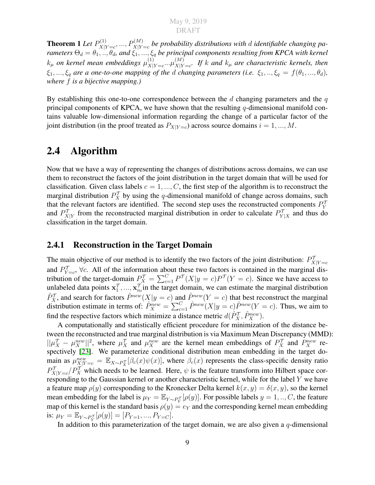**Theorem 1** Let  $P_{X|Y}^{(1)}$  $X|Y=c$ , ...,  $P_{X|Y=c}^{(M)}$  be probability distributions with  $d$  identifiable changing pa*rameters*  $\Theta_d = \theta_1, ..., \theta_d$ , and  $\xi_1, ..., \xi_q$  *be principal components resulting from KPCA with kernel*  $k_{\mu}$  on kernel mean embeddings  $\mu_{X\parallel}^{(1)}$  $(X|Y=c \cdots \mu(X|Y))$  $X|Y=c$ . If k and  $k_{\mu}$  are characteristic kernels, then  $\xi_1, ..., \xi_q$  are a one-to-one mapping of the d changing parameters (i.e.  $\xi_1, ..., \xi_q = f(\theta_1, ..., \theta_d)$ ), *where* f *is a bijective mapping.)*

By establishing this one-to-one correspondence between the  $d$  changing parameters and the  $q$ principal components of KPCA, we have shown that the resulting q-dimensional manifold contains valuable low-dimensional information regarding the change of a particular factor of the joint distribution (in the proof treated as  $P_{X|Y=c}$ ) across source domains  $i = 1, ..., M$ .

### <span id="page-18-0"></span>2.4 Algorithm

Now that we have a way of representing the changes of distributions across domains, we can use them to reconstruct the factors of the joint distribution in the target domain that will be used for classification. Given class labels  $c = 1, ..., C$ , the first step of the algorithm is to reconstruct the marginal distribution  $P_X^{\mathcal{T}}$  by using the q-dimensional manifold of change across domains, such that the relevant factors are identified. The second step uses the reconstructed components  $P_Y^{\mathcal{T}}$ and  $P^{\mathcal{T}}_{X|Y}$  from the reconstructed marginal distribution in order to calculate  $P^{\mathcal{T}}_{Y|X}$  and thus do classification in the target domain.

#### <span id="page-18-1"></span>2.4.1 Reconstruction in the Target Domain

The main objective of our method is to identify the two factors of the joint distribution:  $P^{\mathcal{T}}_{X|Y=c}$ and  $P_{Y=c}^{\mathcal{T}}$ ,  $\forall c$ . All of the information about these two factors is contained in the marginal distribution of the target-domain  $P_X^{\mathcal{T}} = \sum_{c=1}^{C} P^{\mathcal{T}}(X|y=c)P^{\mathcal{T}}(Y=c)$ . Since we have access to unlabeled data points  $x_1^{\mathcal{T}},..., x_{n_t}^{\mathcal{T}}$  in the target domain, we can estimate the marginal distribution  $\hat{P}_X^{\mathcal{T}}$ , and search for factors  $\hat{P}^{new}(X|y=c)$  and  $\hat{P}^{new}(Y=c)$  that best reconstruct the marginal distribution estimate in terms of:  $\hat{P}_X^{new} = \sum_{c=1}^C \hat{P}^{new}(X|y=c)\hat{P}^{new}(Y=c)$ . Thus, we aim to find the respective factors which minimize a distance metric  $d(\hat{P}_X^{\mathcal{T}}, \hat{P}_X^{new})$ .

A computationally and statistically efficient procedure for minimization of the distance between the reconstructed and true marginal distribution is via Maximum Mean Discrepancy (MMD):  $||\mu_X^{\mathcal{T}} - \mu_X^{new}||^2$ , where  $\mu_X^{\mathcal{T}}$  and  $\mu_X^{new}$  are the kernel mean embeddings of  $P_X^{\mathcal{T}}$  and  $P_X^{new}$  re-spectively [\[23\]](#page-49-4). We parameterize conditional distribution mean embedding in the target domain as  $\mu_{X|Y=c}^{new} = \mathbb{E}_{X \sim P_X^{\mathcal{T}}}[\beta_c(x)\psi(x)]$ , where  $\beta_c(x)$  represents the class-specific density ratio  $P_{X|Y=c}^{\mathcal{T}}/P_X^{\mathcal{T}}$  which needs to be learned. Here,  $\psi$  is the feature transform into Hilbert space corresponding to the Gaussian kernel or another characteristic kernel, while for the label Y we have a feature map  $\rho(y)$  corresponding to the Kronecker Delta kernel  $k(x, y) = \delta(x, y)$ , so the kernel mean embedding for the label is  $\mu_Y = \mathbb{E}_{Y \sim P_Y^T}[\rho(y)]$ . For possible labels  $y = 1, ..., C$ , the feature map of this kernel is the standard basis  $\rho(y) = e_Y$  and the corresponding kernel mean embedding is:  $\mu_Y = \mathbb{E}_{Y \sim P_Y^{\mathcal{T}}}[\rho(y)] = [P_{Y=1}, ..., P_{Y=C}].$ 

In addition to this parameterization of the target domain, we are also given a  $q$ -dimensional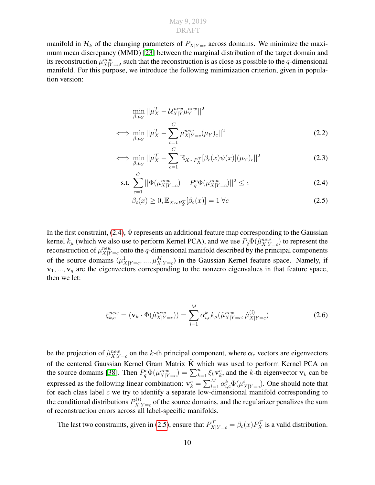manifold in  $\mathcal{H}_k$  of the changing parameters of  $P_{X|Y=c}$  across domains. We minimize the maximum mean discrepancy (MMD) [\[23\]](#page-49-4) between the marginal distribution of the target domain and its reconstruction  $\mu_{X|Y=c}^{new}$ , such that the reconstruction is as close as possible to the q-dimensional manifold. For this purpose, we introduce the following minimization criterion, given in population version:

$$
\min_{\beta,\mu_Y} ||\mu_X^{\mathcal{T}} - \mathcal{U}_{X|Y}^{new} \mu_Y^{new}||^2
$$
\n
$$
\iff \min_{\beta,\mu_Y} ||\mu_X^{\mathcal{T}} - \sum_{c=1}^C \mu_{X|Y=c}^{new} (\mu_Y)_c||^2
$$
\n(2.2)

$$
\iff \min_{\beta,\mu_Y} ||\mu_X^{\mathcal{T}} - \sum_{c=1}^C \mathbb{E}_{X \sim P_X^{\mathcal{T}}}[\beta_c(x)\psi(x)](\mu_Y)_c||^2 \tag{2.3}
$$

s.t. 
$$
\sum_{c=1}^{C} ||\Phi(\mu_{X|Y=c}^{new}) - P_q^c \Phi(\mu_{X|Y=c}^{new})||^2 \le \epsilon
$$
 (2.4)

<span id="page-19-1"></span><span id="page-19-0"></span>
$$
\beta_c(x) \ge 0, \mathbb{E}_{X \sim P_X^{\mathcal{T}}}[\beta_c(x)] = 1 \,\forall c \tag{2.5}
$$

In the first constraint,  $(2.4)$ ,  $\Phi$  represents an additional feature map corresponding to the Gaussian kernel  $k_{\mu}$  (which we also use to perform Kernel PCA), and we use  $P_q\Phi(\hat{\mu}_{X|Y=c}^{new})$  to represent the reconstruction of  $\mu_{X|Y=c}^{new}$  onto the q-dimensional manifold described by the principal components of the source domains  $(\mu^1_{X|Y=c},...,\mu^M_{X|Y=c})$  in the Gaussian Kernel feature space. Namely, if  $v_1, ..., v_q$  are the eigenvectors corresponding to the nonzero eigenvalues in that feature space, then we let:

<span id="page-19-2"></span>
$$
\xi_{k,c}^{new} = (\mathbf{v}_k \cdot \Phi(\hat{\mu}_{X|Y=c}^{new})) = \sum_{i=1}^{M} \alpha_{i,c}^k k_{\mu}(\hat{\mu}_{X|Y=c}^{new}, \hat{\mu}_{X|Y=c}^{(i)})
$$
(2.6)

be the projection of  $\hat{\mu}_{X|Y=c}^{new}$  on the k-th principal component, where  $\alpha_c$  vectors are eigenvectors of the centered Gaussian Kernel Gram Matrix  $\tilde{K}$  which was used to perform Kernel PCA on the source domains [\[38\]](#page-51-10). Then  $P_q^c \Phi(\mu_{X|Y=c}^{new}) = \sum_{k=1}^n \xi_k \mathbf{v}_k^c$ , and the k-th eigenvector  $\mathbf{v}_k$  can be expressed as the following linear combination:  $v_k^c = \sum_{l=1}^M \alpha_{i,c}^k \Phi(\mu_{X|Y=c}^i)$ . One should note that for each class label  $c$  we try to identify a separate low-dimensional manifold corresponding to the conditional distributions  $P_{X|}^{(i)}$  $X|Y=c$  of the source domains, and the regularizer penalizes the sum of reconstruction errors across all label-specific manifolds.

The last two constraints, given in [\(2.5\)](#page-19-1), ensure that  $P^{\mathcal{T}}_{X|Y=c} = \beta_c(x) P^{\mathcal{T}}_X$  is a valid distribution.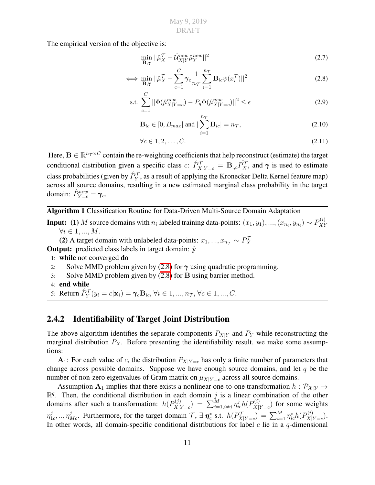The empirical version of the objective is:

<span id="page-20-1"></span>
$$
\min_{\mathbf{B},\gamma} ||\hat{\mu}_X^{\mathcal{T}} - \hat{\mathcal{U}}_{X|Y}^{new} \hat{\mu}_Y^{new}||^2
$$
\n(2.7)

$$
\iff \min_{\mathbf{B}, \gamma} ||\hat{\mu}_X^{\mathcal{T}} - \sum_{c=1}^C \gamma_c \frac{1}{n_{\mathcal{T}}} \sum_{i=1}^{n_{\mathcal{T}}} \mathbf{B}_{ic} \psi(x_i^{\mathcal{T}})||^2
$$
\n(2.8)

s.t. 
$$
\sum_{c=1}^{C} ||\Phi(\hat{\mu}_{X|Y=c}^{new}) - P_q \Phi(\hat{\mu}_{X|Y=c}^{new})||^2 \le \epsilon
$$
 (2.9)

$$
\mathbf{B}_{ic} \in [0, B_{max}] \text{ and } |\sum_{i=1}^{n_{\mathcal{T}}} \mathbf{B}_{ic}| = n_{\mathcal{T}},
$$
\n(2.10)

$$
\forall c \in 1, 2, \dots, C. \tag{2.11}
$$

Here,  $B \in \mathbb{R}^{n_T \times C}$  contain the re-weighting coefficients that help reconstruct (estimate) the target conditional distribution given a specific class c:  $\hat{P}_{X|Y=c}^{\mathcal{T}} = \mathbf{B}_{:,c} \hat{P}_X^{\mathcal{T}}$ , and  $\gamma$  is used to estimate class probabilities (given by  $\hat{P}_Y^\mathcal{T},$  as a result of applying the Kronecker Delta Kernel feature map) across all source domains, resulting in a new estimated marginal class probability in the target domain:  $\hat{P}_{Y=c}^{new} = \gamma_c$ .

Algorithm 1 Classification Routine for Data-Driven Multi-Source Domain Adaptation

**Input:** (1) M source domains with  $n_i$  labeled training data-points:  $(x_1, y_1), ..., (x_{n_i}, y_{n_i}) \sim P_{XY}^{(i)}$ XY  $\forall i \in 1, ..., M.$ 

(2) A target domain with unlabeled data-points:  $x_1, ..., x_{n_{\tau}} \sim P_X^{\tau}$ 

**Output:** predicted class labels in target domain:  $\hat{y}$ 

- 1: while not converged do
- 2: Solve MMD problem given by [\(2.8\)](#page-20-1) for  $\gamma$  using quadratic programming.
- 3: Solve MMD problem given by [\(2.8\)](#page-20-1) for B using barrier method.
- 4: end while
- 5: Return  $\hat{P}_Y^{\mathcal{T}}(y_i = c | \mathbf{x}_i) = \gamma_c \mathbf{B}_{ic}, \forall i \in 1, ..., n_{\mathcal{T}}, \forall c \in 1, ..., C$ .

#### <span id="page-20-0"></span>2.4.2 Identifiability of Target Joint Distribution

The above algorithm identifies the separate components  $P_{X|Y}$  and  $P_Y$  while reconstructing the marginal distribution  $P_X$ . Before presenting the identifiability result, we make some assumptions:

 $A_1$ : For each value of c, the distribution  $P_{X|Y=c}$  has only a finite number of parameters that change across possible domains. Suppose we have enough source domains, and let  $q$  be the number of non-zero eigenvalues of Gram matrix on  $\mu_{X|Y=c}$  across all source domains.

Assumption  $A_1$  implies that there exists a nonlinear one-to-one transformation  $h : \mathcal{P}_{\mathcal{X}}|_{\mathcal{Y}} \to$  $\mathbb{R}^q$ . Then, the conditional distribution in each domain j is a linear combination of the other domains after such a transformation:  $h(P_{X|Y}^{(j)})$  $\chi^{\left(j\right)}_{X|Y=c})\ =\ \sum_{i=1,i\neq j}^{M}\eta_{ic}^{j}h(P_{X|i}^{\left(i\right)})$  $X|Y=c$ ) for some weights  $\eta_1^j$  $\eta_1^j$ <sub>1c</sub>, ..,  $\eta_{Me}^j$ . Furthermore, for the target domain  $\mathcal{T}$ ,  $\exists \eta_c^*$  s.t.  $h(P_{X|Y=c}^{\mathcal{T}}) = \sum_{i=1}^M \eta_{ic}^* h(P_{X|Y=c}^{(i)})$  $X|Y=c$ ). In other words, all domain-specific conditional distributions for label  $c$  lie in a  $q$ -dimensional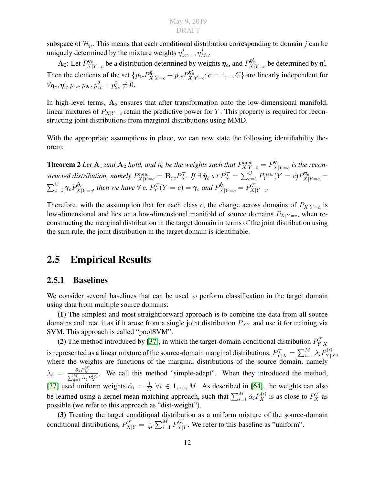subspace of  $\mathcal{H}_{\mu}$ . This means that each conditional distribution corresponding to domain j can be uniquely determined by the mixture weights  $\eta_1^j$  $j_{1c}^j,.., \eta_{Mc}^j.$ 

 $\mathbf{A}_2$ : Let  $P_{X|}^{\eta_c}$  $\eta_c^{\eta_c}$  be a distribution determined by weights  $\eta_c$ , and  $P_{X|Y=c}^{\eta_c'}$  be determined by  $\eta_c'$ . Then the elements of the set  $\{p_{1c}P_{X|Y=c}^{\eta_c}+p_{2c}P_{X|Y=c}^{\eta_c}$ ;  $c=1,..,C\}$  are linearly independent for  $\forall \eta_c, \eta_c', p_{1c}, p_{2c}, p_{1c}^2 + p_{2c}^2 \neq 0.$ 

In high-level terms,  $A_2$  ensures that after transformation onto the low-dimensional manifold, linear mixtures of  $P_{X|Y=c}$  retain the predictive power for Y. This property is required for reconstructing joint distributions from marginal distributions using MMD.

With the appropriate assumptions in place, we can now state the following identifiability theorem:

**Theorem 2** Let  $A_1$  and  $A_2$  hold, and  $\hat{\eta_c}$  be the weights such that  $P_{X|Y=c}^{new} = P_{X|C}^{\hat{\eta}_c}$  $X|Y=c$  is the recon*structed distribution, namely*  $P_{X|Y=c}^{new} = \mathbf{B}_{:,c} P_X^{\mathcal{T}}$ . If  $\exists \ \hat{\pmb{\eta}}_c$  s.t  $P_X^{\mathcal{T}} = \sum_{c=1}^{C} P_Y^{new}(Y=c) P_{X|Y=c}^{\hat{\pmb{\eta}}_c}$  $\sum_{c=1}^C \boldsymbol{\gamma}_c P^{\hat{\boldsymbol{\eta}}_c}_{X\mid}$  $\hat{\mathcal{R}}_{X|Y=c}^{\hat{\pmb{\eta}}_c}$ , then we have  $\forall$  c,  $P_Y^{\mathcal{T}}(Y=c)=\pmb{\gamma}_c$  and  $P_{X|Y=c}^{\hat{\pmb{\eta}}_c}=P_{X|Y=c}^{\mathcal{T}}.$ 

Therefore, with the assumption that for each class c, the change across domains of  $P_{X|Y=c}$  is low-dimensional and lies on a low-dimensional manifold of source domains  $P_{X|Y=c}$ , when reconstructing the marginal distribution in the target domain in terms of the joint distribution using the sum rule, the joint distribution in the target domain is identifiable.

### <span id="page-21-0"></span>2.5 Empirical Results

#### <span id="page-21-1"></span>2.5.1 Baselines

We consider several baselines that can be used to perform classification in the target domain using data from multiple source domains:

(1) The simplest and most straightforward approach is to combine the data from all source domains and treat it as if it arose from a single joint distribution  $P_{XY}$  and use it for training via SVM. This approach is called "poolSVM".

(2) The method introduced by [\[37\]](#page-50-3), in which the target-domain conditional distribution  $P_{Y|X}^{\mathcal{T}}$ is represented as a linear mixture of the source-domain marginal distributions,  $P^{\cal T}_{Y|X}=\sum_{i=1}^M \lambda_i P^{(i)}_{Y|X}$  $Y|X$  , where the weights are functions of the marginal distributions of the source domain, namely  $\lambda_i = \frac{\tilde{\alpha}_i P_X^{(i)}}{\sum_{q=1}^M \tilde{\alpha}_q P_X^{(q)}}$ . We call this method "simple-adapt". When they introduced the method, [\[37\]](#page-50-3) used uniform weights  $\tilde{\alpha}_i = \frac{1}{M}$  $\frac{1}{M}$   $\forall i \in 1, ..., M$ . As described in [\[64\]](#page-52-3), the weights can also be learned using a kernel mean matching approach, such that  $\sum_{i=1}^{M} \tilde{\alpha}_i P_X^{(i)}$  is as close to  $P_X^{\mathcal{T}}$  as possible (we refer to this approach as "dist-weight").

(3) Treating the target conditional distribution as a uniform mixture of the source-domain conditional distributions,  $P^{\mathcal{T}}_{X|Y} = \frac{1}{M}$  $\frac{1}{M}\sum_{i=1}^M P^{(i)}_{X|i}$  $X|Y$ . We refer to this baseline as "uniform".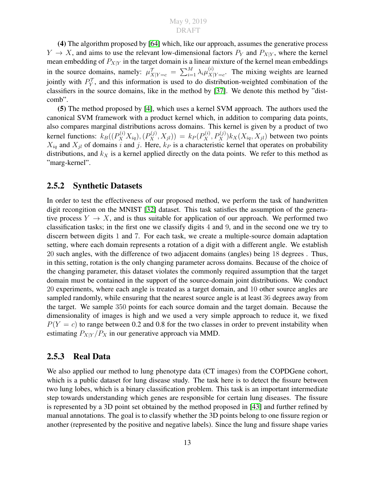(4) The algorithm proposed by [\[64\]](#page-52-3) which, like our approach, assumes the generative process  $Y \to X$ , and aims to use the relevant low-dimensional factors  $P_Y$  and  $P_{X|Y}$ , where the kernel mean embedding of  $P_{X|Y}$  in the target domain is a linear mixture of the kernel mean embeddings in the source domains, namely:  $\mu_{X|Y=c}^{\mathcal{T}} = \sum_{i=1}^{M} \lambda_i \mu_{X|}^{(i)}$  $X|Y=c$ . The mixing weights are learned jointly with  $P_Y^{\mathcal{T}}$ , and this information is used to do distribution-weighted combination of the classifiers in the source domains, like in the method by [\[37\]](#page-50-3). We denote this method by "distcomb".

(5) The method proposed by [\[4\]](#page-48-5), which uses a kernel SVM approach. The authors used the canonical SVM framework with a product kernel which, in addition to comparing data points, also compares marginal distributions across domains. This kernel is given by a product of two kernel functions:  $k_B((P_X^{(i)}X_{iq}),(P_X^{(j)},X_{jl})) = k_P(P_X^{(i)},P_X^{(j)})k_X(X_{iq},X_{jl})$  between two points  $X_{iq}$  and  $X_{jl}$  of domains i and j. Here,  $k_P$  is a characteristic kernel that operates on probability distributions, and  $k_X$  is a kernel applied directly on the data points. We refer to this method as "marg-kernel".

#### <span id="page-22-0"></span>2.5.2 Synthetic Datasets

In order to test the effectiveness of our proposed method, we perform the task of handwritten digit recongition on the MNIST [\[32\]](#page-50-4) dataset. This task satisfies the assumption of the generative process  $Y \to X$ , and is thus suitable for application of our approach. We performed two classification tasks; in the first one we classify digits 4 and 9, and in the second one we try to discern between digits 1 and 7. For each task, we create a multiple-source domain adaptation setting, where each domain represents a rotation of a digit with a different angle. We establish 20 such angles, with the difference of two adjacent domains (angles) being 18 degrees . Thus, in this setting, rotation is the only changing parameter across domains. Because of the choice of the changing parameter, this dataset violates the commonly required assumption that the target domain must be contained in the support of the source-domain joint distributions. We conduct 20 experiments, where each angle is treated as a target domain, and 10 other source angles are sampled randomly, while ensuring that the nearest source angle is at least 36 degrees away from the target. We sample 350 points for each source domain and the target domain. Because the dimensionality of images is high and we used a very simple approach to reduce it, we fixed  $P(Y = c)$  to range between 0.2 and 0.8 for the two classes in order to prevent instability when estimating  $P_{X|Y}/P_X$  in our generative approach via MMD.

#### <span id="page-22-1"></span>2.5.3 Real Data

We also applied our method to lung phenotype data (CT images) from the COPDGene cohort, which is a public dataset for lung disease study. The task here is to detect the fissure between two lung lobes, which is a binary classification problem. This task is an important intermediate step towards understanding which genes are responsible for certain lung diseases. The fissure is represented by a 3D point set obtained by the method proposed in [\[43\]](#page-51-11) and further refined by manual annotations. The goal is to classify whether the 3D points belong to one fissure region or another (represented by the positive and negative labels). Since the lung and fissure shape varies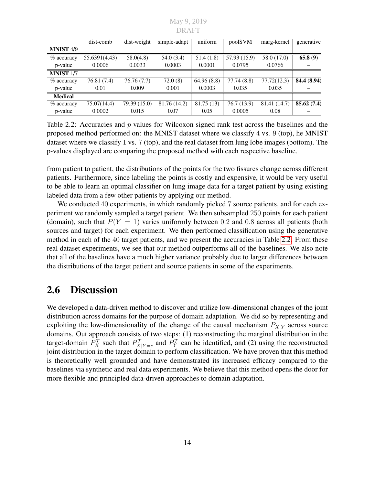<span id="page-23-1"></span>

| May 9, 2019 |  |
|-------------|--|
| DR A FT     |  |

|                  | dist-comb     | dist-weight  | simple-adapt | uniform    | poolSVM      | marg-kernel  | generative  |
|------------------|---------------|--------------|--------------|------------|--------------|--------------|-------------|
| <b>MNIST 4/9</b> |               |              |              |            |              |              |             |
| % accuracy       | 55.6391(4.43) | 58.0(4.8)    | 54.0(3.4)    | 51.4(1.8)  | 57.93 (15.9) | 58.0 (17.0)  | 65.8(9)     |
| p-value          | 0.0006        | 0.0033       | 0.0003       | 0.0001     | 0.0795       | 0.0766       |             |
| <b>MNIST 1/7</b> |               |              |              |            |              |              |             |
| $%$ accuracy     | 76.81 (7.4)   | 76.76(7.7)   | 72.0(8)      | 64.96(8.8) | 77.74 (8.8)  | 77.72(12.3)  | 84.4 (8.94) |
| p-value          | 0.01          | 0.009        | 0.001        | 0.0003     | 0.035        | 0.035        |             |
| <b>Medical</b>   |               |              |              |            |              |              |             |
| $%$ accuracy     | 75.07(14.4)   | 79.39 (15.0) | 81.76 (14.2) | 81.75 (13) | 76.7 (13.9)  | 81.41 (14.7) | 85.62(7.4)  |
| p-value          | 0.0002        | 0.015        | 0.07         | 0.05       | 0.0005       | 0.08         |             |

Table 2.2: Accuracies and  $p$  values for Wilcoxon signed rank test across the baselines and the proposed method performed on: the MNIST dataset where we classify 4 vs. 9 (top), he MNIST dataset where we classify 1 vs. 7 (top), and the real dataset from lung lobe images (bottom). The p-values displayed are comparing the proposed method with each respective baseline.

from patient to patient, the distributions of the points for the two fissures change across different patients. Furthermore, since labeling the points is costly and expensive, it would be very useful to be able to learn an optimal classifier on lung image data for a target patient by using existing labeled data from a few other patients by applying our method.

We conducted 40 experiments, in which randomly picked 7 source patients, and for each experiment we randomly sampled a target patient. We then subsampled 250 points for each patient (domain), such that  $P(Y = 1)$  varies uniformly between 0.2 and 0.8 across all patients (both sources and target) for each experiment. We then performed classification using the generative method in each of the 40 target patients, and we present the accuracies in Table [2.2.](#page-23-1) From these real dataset experiments, we see that our method outperforms all of the baselines. We also note that all of the baselines have a much higher variance probably due to larger differences between the distributions of the target patient and source patients in some of the experiments.

### <span id="page-23-0"></span>2.6 Discussion

We developed a data-driven method to discover and utilize low-dimensional changes of the joint distribution across domains for the purpose of domain adaptation. We did so by representing and exploiting the low-dimensionality of the change of the causal mechanism  $P_{X|Y}$  across source domains. Out approach consists of two steps: (1) reconstructing the marginal distribution in the target-domain  $P_X^{\mathcal{T}}$  such that  $P_{X|Y=c}^{\mathcal{T}}$  and  $P_Y^{\mathcal{T}}$  can be identified, and (2) using the reconstructed joint distribution in the target domain to perform classification. We have proven that this method is theoretically well grounded and have demonstrated its increased efficacy compared to the baselines via synthetic and real data experiments. We believe that this method opens the door for more flexible and principled data-driven approaches to domain adaptation.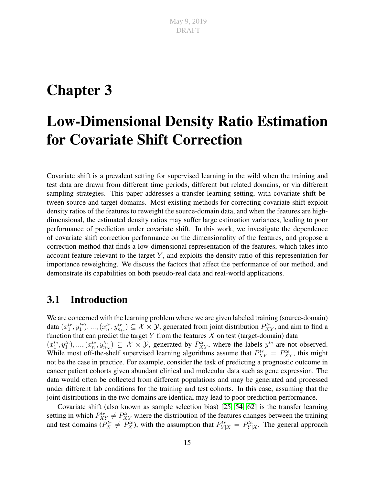## <span id="page-24-0"></span>Chapter 3

## Low-Dimensional Density Ratio Estimation for Covariate Shift Correction

Covariate shift is a prevalent setting for supervised learning in the wild when the training and test data are drawn from different time periods, different but related domains, or via different sampling strategies. This paper addresses a transfer learning setting, with covariate shift between source and target domains. Most existing methods for correcting covariate shift exploit density ratios of the features to reweight the source-domain data, and when the features are highdimensional, the estimated density ratios may suffer large estimation variances, leading to poor performance of prediction under covariate shift. In this work, we investigate the dependence of covariate shift correction performance on the dimensionality of the features, and propose a correction method that finds a low-dimensional representation of the features, which takes into account feature relevant to the target  $Y$ , and exploits the density ratio of this representation for importance reweighting. We discuss the factors that affect the performance of our method, and demonstrate its capabilities on both pseudo-real data and real-world applications.

### <span id="page-24-1"></span>3.1 Introduction

We are concerned with the learning problem where we are given labeled training (source-domain) data  $(x_1^{tr}, y_1^{tr}), ..., (x_n^{tr}, y_{n_{tr}}^{tr}) \subseteq \mathcal{X} \times \mathcal{Y}$ , generated from joint distribution  $P_{XY}^{tr}$ , and aim to find a function that can predict the target Y from the features  $X$  on test (target-domain) data  $(x_1^{te}, y_1^{te}), ..., (x_n^{te}, y_{n_{te}}^{te}) \subseteq \mathcal{X} \times \mathcal{Y}$ , generated by  $P_{XY}^{te}$ , where the labels  $y^{te}$  are not observed. While most off-the-shelf supervised learning algorithms assume that  $P_{XY}^{tr} = P_{XY}^{te}$ , this might not be the case in practice. For example, consider the task of predicting a prognostic outcome in cancer patient cohorts given abundant clinical and molecular data such as gene expression. The data would often be collected from different populations and may be generated and processed under different lab conditions for the training and test cohorts. In this case, assuming that the joint distributions in the two domains are identical may lead to poor prediction performance.

Covariate shift (also known as sample selection bias) [\[25,](#page-50-5) [54,](#page-52-6) [62\]](#page-52-7) is the transfer learning setting in which  $P_{XY}^{tr} \neq P_{XY}^{te}$  where the distribution of the features changes between the training and test domains ( $P_X^{tr} \neq P_X^{te}$ ), with the assumption that  $P_{Y|X}^{tr} = P_{Y|X}^{te}$ . The general approach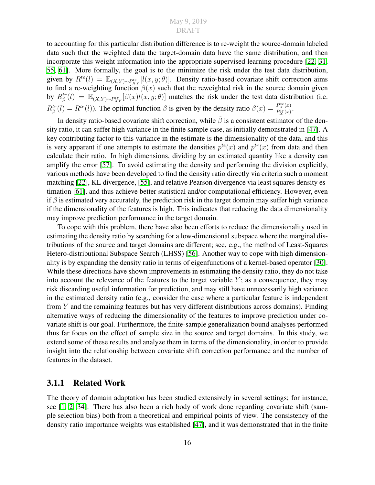to accounting for this particular distribution difference is to re-weight the source-domain labeled data such that the weighted data the target-domain data have the same distribution, and then incorporate this weight information into the appropriate supervised learning procedure [\[22,](#page-49-5) [31,](#page-50-1) [55,](#page-52-0) [61\]](#page-52-1). More formally, the goal is to the minimize the risk under the test data distribution, given by  $R^{te}(l) = \mathbb{E}_{(X,Y)\sim P_{XY}^{te}}[l(x,y;\theta)]$ . Density ratio-based covariate shift correction aims to find a re-weighting function  $\beta(x)$  such that the reweighted risk in the source domain given by  $R_{\beta}^{tr}(l) = \mathbb{E}_{(X,Y)\sim P_{XY}^{tr}}[\beta(x)l(x,y;\theta)]$  matches the risk under the test data distribution (i.e.  $R_{\beta}^{tr}(l) = R^{te}(l)$ ). The optimal function  $\beta$  is given by the density ratio  $\beta(x) = \frac{P_{X}^{te}(x)}{P_{Y}^{tr}(x)}$  $\frac{F_X(x)}{P_X^{tr}(x)}$ .

In density ratio-based covariate shift correction, while  $\hat{\beta}$  is a consistent estimator of the density ratio, it can suffer high variance in the finite sample case, as initially demonstrated in [\[47\]](#page-51-0). A key contributing factor to this variance in the estimate is the dimensionality of the data, and this is very apparent if one attempts to estimate the densities  $p^{te}(x)$  and  $p^{tr}(x)$  from data and then calculate their ratio. In high dimensions, dividing by an estimated quantity like a density can amplify the error [\[57\]](#page-52-8). To avoid estimating the density and performing the division explicitly, various methods have been developed to find the density ratio directly via criteria such a moment matching [\[22\]](#page-49-5), KL divergence, [\[55\]](#page-52-0), and relative Pearson divergence via least squares density estimation [\[61\]](#page-52-1), and thus achieve better statistical and/or computational efficiency. However, even if  $\beta$  is estimated very accurately, the prediction risk in the target domain may suffer high variance if the dimensionality of the features is high. This indicates that reducing the data dimensionality may improve prediction performance in the target domain.

To cope with this problem, there have also been efforts to reduce the dimensionality used in estimating the density ratio by searching for a low-dimensional subspace where the marginal distributions of the source and target domains are different; see, e.g., the method of Least-Squares Hetero-distributional Subspace Search (LHSS) [\[56\]](#page-52-9). Another way to cope with high dimensionality is by expanding the density ratio in terms of eigenfunctions of a kernel-based operator [\[30\]](#page-50-0). While these directions have shown improvements in estimating the density ratio, they do not take into account the relevance of the features to the target variable  $Y$ ; as a consequence, they may risk discarding useful information for prediction, and may still have unnecessarily high variance in the estimated density ratio (e.g., consider the case where a particular feature is independent from Y and the remaining features but has very different distributions across domains). Finding alternative ways of reducing the dimensionality of the features to improve prediction under covariate shift is our goal. Furthermore, the finite-sample generalization bound analyses performed thus far focus on the effect of sample size in the source and target domains. In this study, we extend some of these results and analyze them in terms of the dimensionality, in order to provide insight into the relationship between covariate shift correction performance and the number of features in the dataset.

#### <span id="page-25-0"></span>3.1.1 Related Work

The theory of domain adaptation has been studied extensively in several settings; for instance, see [\[1,](#page-48-2) [2,](#page-48-3) [34\]](#page-50-6). There has also been a rich body of work done regarding covariate shift (sample selection bias) both from a theoretical and empirical points of view. The consistency of the density ratio importance weights was established [\[47\]](#page-51-0), and it was demonstrated that in the finite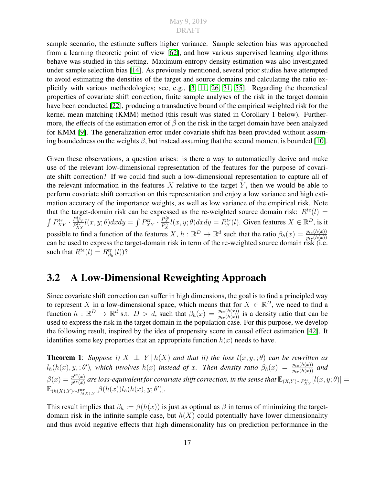sample scenario, the estimate suffers higher variance. Sample selection bias was approached from a learning theoretic point of view [\[62\]](#page-52-7), and how various supervised learning algorithms behave was studied in this setting. Maximum-entropy density estimation was also investigated under sample selection bias [\[14\]](#page-49-6). As previously mentioned, several prior studies have attempted to avoid estimating the densities of the target and source domains and calculating the ratio explicitly with various methodologies; see, e.g., [\[3,](#page-48-7) [11,](#page-49-7) [26,](#page-50-7) [31,](#page-50-1) [55\]](#page-52-0). Regarding the theoretical properties of covariate shift correction, finite sample analyses of the risk in the target domain have been conducted [\[22\]](#page-49-5), producing a transductive bound of the empirical weighted risk for the kernel mean matching (KMM) method (this result was stated in Corollary 1 below). Furthermore, the effects of the estimation error of  $\hat{\beta}$  on the risk in the target domain have been analyzed for KMM [\[9\]](#page-48-8). The generalization error under covariate shift has been provided without assuming boundedness on the weights  $\beta$ , but instead assuming that the second moment is bounded [\[10\]](#page-48-9).

Given these observations, a question arises: is there a way to automatically derive and make use of the relevant low-dimensional representation of the features for the purpose of covariate shift correction? If we could find such a low-dimensional representation to capture all of the relevant information in the features  $X$  relative to the target  $Y$ , then we would be able to perform covariate shift correction on this representation and enjoy a low variance and high estimation accuracy of the importance weights, as well as low variance of the empirical risk. Note that the target-domain risk can be expressed as the re-weighted source domain risk:  $R^{te}(l)$  =  $\int P_{XY}^{tr} \cdot \frac{P_{XY}^{te}}{P_{XY}^{tr}} l(x, y; \theta) dx dy = \int P_{XY}^{tr} \cdot \frac{P_{XY}^{te}}{P_{XY}^{tr}} l(x, y; \theta) dx dy = R_{\beta}^{tr}(l)$ . Given features  $X \in \mathbb{R}^D$ , is it possible to find a function of the features X,  $h : \mathbb{R}^D \to \mathbb{R}^d$  such that the ratio  $\beta_h(x) = \frac{p_{te}(h(x))}{p_{tr}(h(x))}$ <br>can be used to express the target-domain risk in term of the re-weighted source domain risk (i.e. such that  $R^{te}(l) = R^{tr}_{\beta_h}(l)$ ?

### <span id="page-26-0"></span>3.2 A Low-Dimensional Reweighting Approach

Since covariate shift correction can suffer in high dimensions, the goal is to find a principled way to represent X in a low-dimensional space, which means that for  $X \in \mathbb{R}^D$ , we need to find a function  $h : \mathbb{R}^D \to \mathbb{R}^d$  s.t.  $D > d$ , such that  $\beta_h(x) = \frac{p_{te}(h(x))}{p_{tr}(h(x))}$  is a density ratio that can be used to express the risk in the target domain in the population case. For this purpose, we develop the following result, inspired by the idea of propensity score in causal effect estimation [\[42\]](#page-51-12). It identifies some key properties that an appropriate function  $h(x)$  needs to have.

**Theorem 1:** *Suppose i)*  $X \perp Y | h(X)$  *and that ii) the loss*  $l(x, y, ; \theta)$  *can be rewritten as*  $l_h(h(x), y,; \theta')$ , which involves  $h(x)$  instead of x. Then density ratio  $\beta_h(x) = \frac{p_{te}(h(x))}{p_{tr}(h(x))}$  and  $\beta(x) = \frac{p^{te}(x)}{p^{tr}(x)}$  $p^{te}(x) \over p^{tr}(x)}$  are loss-equivalent for covariate shift correction, in the sense that  $\mathbb{E}_{(X,Y)\sim P_{XY}^{te}}[l(x,y;\theta)]=0$  $\mathbb{E}_{(h(X),Y)\sim P^{tr}_{h(X),Y}}[\beta(h(x))l_h(h(x),y;\theta')]$ .

This result implies that  $\beta_h := \beta(h(x))$  is just as optimal as  $\beta$  in terms of minimizing the targetdomain risk in the infinite sample case, but  $h(X)$  could potentially have lower dimensionality and thus avoid negative effects that high dimensionality has on prediction performance in the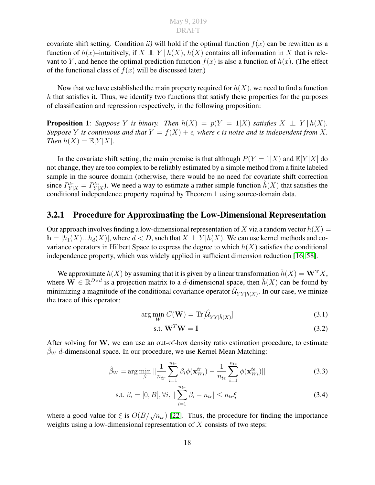covariate shift setting. Condition *ii*) will hold if the optimal function  $f(x)$  can be rewritten as a function of  $h(x)$ –intuitively, if  $X \perp Y$   $\mid h(X)$ ,  $h(X)$  contains all information in X that is relevant to Y, and hence the optimal prediction function  $f(x)$  is also a function of  $h(x)$ . (The effect of the functional class of  $f(x)$  will be discussed later.)

Now that we have established the main property required for  $h(X)$ , we need to find a function  $h$  that satisfies it. Thus, we identify two functions that satisfy these properties for the purposes of classification and regression respectively, in the following proposition:

**Proposition 1:** *Suppose* Y *is binary.* Then  $h(X) = p(Y = 1|X)$  *satisfies*  $X \perp Y | h(X)$ . *Suppose Y is continuous and that*  $Y = f(X) + \epsilon$ , where  $\epsilon$  *is noise and is independent from* X. *Then*  $h(X) = \mathbb{E}[Y|X]$ .

In the covariate shift setting, the main premise is that although  $P(Y = 1|X)$  and  $\mathbb{E}[Y|X]$  do not change, they are too complex to be reliably estimated by a simple method from a finite labeled sample in the source domain (otherwise, there would be no need for covariate shift correction since  $P_{Y|X}^{tr} = P_{Y|X}^{te}$ ). We need a way to estimate a rather simple function  $\hat{h}(X)$  that satisfies the conditional independence property required by Theorem 1 using source-domain data.

#### <span id="page-27-0"></span>3.2.1 Procedure for Approximating the Low-Dimensional Representation

Our approach involves finding a low-dimensional representation of X via a random vector  $h(X) =$  $h = [h_1(X)...h_d(X)]$ , where  $d < D$ , such that  $X \perp Y | h(X)$ . We can use kernel methods and covariance operators in Hilbert Space to express the degree to which  $h(X)$  satisfies the conditional independence property, which was widely applied in sufficient dimension reduction [\[16,](#page-49-8) [58\]](#page-52-10).

We approximate  $h(X)$  by assuming that it is given by a linear transformation  $\hat{h}(X) = \mathbf{W}^{\mathbf{T}} X$ , where  $\mathbf{W} \in \mathbb{R}^{D \times d}$  is a projection matrix to a d-dimensional space, then  $\hat{h}(X)$  can be found by minimizing a magnitude of the conditional covariance operator  $\hat{\mathcal{U}}_{YY|\hat{h}(X)}$ . In our case, we minize the trace of this operator:

$$
\arg\min_{W} C(\mathbf{W}) = \text{Tr}[\hat{\mathcal{U}}_{YY|\hat{h}(X)}]
$$
\n(3.1)

<span id="page-27-3"></span><span id="page-27-2"></span><span id="page-27-1"></span>
$$
\text{s.t. } \mathbf{W}^T \mathbf{W} = \mathbf{I} \tag{3.2}
$$

After solving for W, we can use an out-of-box density ratio estimation procedure, to estimate  $\hat{\beta}_W$  d-dimensional space. In our procedure, we use Kernel Mean Matching:

$$
\hat{\beta}_W = \arg \min_{\beta} || \frac{1}{n_{tr}} \sum_{i=1}^{n_{tr}} \beta_i \phi(\mathbf{x}_{Wi}^{tr}) - \frac{1}{n_{te}} \sum_{i=1}^{n_{te}} \phi(\mathbf{x}_{Wi}^{te}) ||
$$
(3.3)

s.t. 
$$
\beta_i = [0, B], \forall i, \ |\sum_{i=1}^{n_{tr}} \beta_i - n_{tr}| \leq n_{tr} \xi
$$
 (3.4)

where a good value for  $\xi$  is  $O(B/\sqrt{n_{tr}})$  [\[22\]](#page-49-5). Thus, the procedure for finding the importance weights using a low-dimensional representation of  $X$  consists of two steps: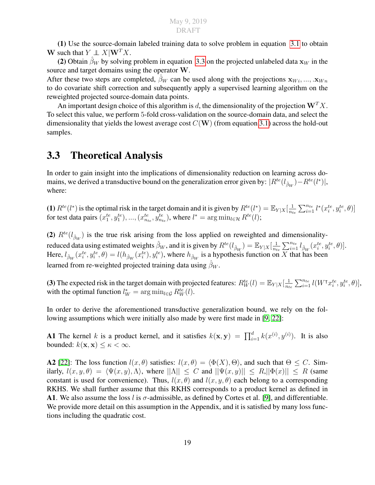(1) Use the source-domain labeled training data to solve problem in equation [3.1](#page-27-1) to obtain W such that  $Y \perp\!\!\!\perp X|\mathbf{W}^T X$ .

(2) Obtain  $\hat{\beta}_W$  by solving problem in equation [3.3](#page-27-2) on the projected unlabeled data  $x_W$  in the source and target domains using the operator W.

After these two steps are completed,  $\hat{\beta}_W$  can be used along with the projections  $x_{W_i}, ..., x_{W_n}$ to do covariate shift correction and subsequently apply a supervised learning algorithm on the reweighted projected source-domain data points.

An important design choice of this algorithm is d, the dimensionality of the projection  $W^{T}X$ . To select this value, we perform 5-fold cross-validation on the source-domain data, and select the dimensionality that yields the lowest average cost  $C(W)$  (from equation [3.1\)](#page-27-1) across the hold-out samples.

### <span id="page-28-0"></span>3.3 Theoretical Analysis

In order to gain insight into the implications of dimensionality reduction on learning across domains, we derived a transductive bound on the generalization error given by:  $|R^{te}(l_{\hat\beta_W})-R^{te}(l^*)|,$ where:

(1)  $R^{te}(l^*)$  is the optimal risk in the target domain and it is given by  $R^{te}(l^*) = \mathbb{E}_{Y|X}[\frac{1}{n_e}$  $\frac{1}{n_{te}}\sum_{i=1}^{n_{te}} l^*(x_i^{te}, y_i^{te}, \theta)]$ for test data pairs  $(x_1^{te}, y_1^{te}), ..., (x_{n_{te}}^{te}, y_{n_{te}}^{te}),$  where  $l^* = \arg \min_{l \in \mathcal{H}} R^{te}(l);$ 

(2)  $R^{te}(l_{\hat{\beta}_W})$  is the true risk arising from the loss applied on reweighted and dimensionalityreduced data using estimated weights  $\hat{\beta}_W$ , and it is given by  $R^{te}(l_{\hat{\beta}_W}) = \mathbb{E}_{Y|X}[\frac{1}{n_t}]$  $\frac{1}{n_{te}} \sum_{i=1}^{n_{te}} l_{\hat{\beta}_W}(x_i^{te}, y_i^{te}, \theta)].$ Here,  $l_{\hat{\beta}_W}(x_i^{te}, y_i^{te}, \theta) = l(h_{\hat{\beta}_W}(x_i^{te}), y_i^{te})$ , where  $h_{\hat{\beta}_W}$  is a hypothesis function on X that has been learned from re-weighted projected training data using  $\beta_W$ .

(3) The expected risk in the target domain with projected features:  $R_W^{te}(l) = \mathbb{E}_{Y|X}[\frac{1}{n_t}]$  $\frac{1}{n_{te}}\sum_{i=1}^{n_{te}}l(W^{\intercal}x_i^{te},y_i^{te},\theta)],$ with the optimal function  $l_W^* = \arg \min_{l \in \mathcal{G}} R_W^{te}(l)$ .

In order to derive the aforementioned transductive generalization bound, we rely on the following assumptions which were initially also made by were first made in [\[9,](#page-48-8) [22\]](#page-49-5):

**A1** The kernel k is a product kernel, and it satisfies  $k(\mathbf{x}, \mathbf{y}) = \prod_{i=1}^{d} k(x^{(i)}, y^{(i)})$ . It is also bounded:  $k(\mathbf{x}, \mathbf{x}) \leq \kappa < \infty$ .

**A2** [\[22\]](#page-49-5): The loss function  $l(x, \theta)$  satisfies:  $l(x, \theta) = \langle \Phi(X), \Theta \rangle$ , and such that  $\Theta \leq C$ . Similarly,  $l(x, y, \theta) = \langle \Psi(x, y), \Lambda \rangle$ , where  $||\Lambda|| \leq C$  and  $||\Psi(x, y)|| \leq R$ , $||\Phi(x)|| \leq R$  (same constant is used for convenience). Thus,  $l(x, \theta)$  and  $l(x, y, \theta)$  each belong to a corresponding RKHS. We shall further assume that this RKHS corresponds to a product kernel as defined in A1. We also assume the loss l is  $\sigma$ -admissible, as defined by Cortes et al. [\[9\]](#page-48-8), and differentiable. We provide more detail on this assumption in the Appendix, and it is satisfied by many loss functions including the quadratic cost.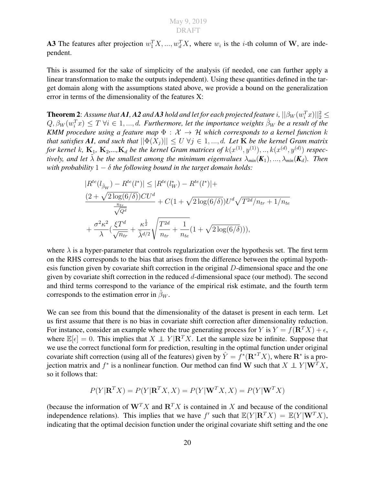**A3** The features after projection  $w_1^T X, ..., w_d^T X$ , where  $w_i$  is the *i*-th column of W, are independent.

This is assumed for the sake of simplicity of the analysis (if needed, one can further apply a linear transformation to make the outputs independent). Using these quantities defined in the target domain along with the assumptions stated above, we provide a bound on the generalization error in terms of the dimensionality of the features X:

**Theorem 2**: Assume that **A1**, **A2** and **A3** hold and let for each projected feature  $i$ ,  $||\beta_W(w_i^T x)||_2^2 \leq 1$  $Q, \beta_W(w_i^T x) \leq T \ \forall i \in 1, ..., d$ . Furthermore, let the importance weights  $\hat{\beta}_W$  be a result of the *KMM procedure using a feature map*  $\Phi : \mathcal{X} \to \mathcal{H}$  *which corresponds to a kernel function k that satisfies* A1, and such that  $||\Phi(X_i)|| \le U \ \forall j \in 1, ..., d$ . Let K be the kernel Gram matrix *for kernel k*,  $\mathbf{K}_1$ ,  $\mathbf{K}_2$ ,..., $\mathbf{K}_d$  *be the kernel Gram matrices of*  $k(x^{(1)}, y^{(1)}), ..., k(x^{(d)}, y^{(d)})$  *respectively, and let*  $\lambda$  *be the smallest among the minimum eigenvalues*  $\lambda_{min}(\mathbf{K}_1), ..., \lambda_{min}(\mathbf{K}_d)$ *. Then with probability*  $1 - \delta$  *the following bound in the target domain holds:* 

$$
|R^{te}(l_{\hat{\beta}_W}) - R^{te}(l^*)| \le |R^{te}(l^*_{W}) - R^{te}(l^*)| +
$$
  
\n
$$
\frac{(2 + \sqrt{2 \log(6/\delta)})CU^d}{\frac{n_{tr}}{\sqrt{Q^d}}} + C(1 + \sqrt{2 \log(6/\delta)})U^d \sqrt{T^{2d}/n_{tr} + 1/n_{te}}
$$
  
\n
$$
+ \frac{\sigma^2 \kappa^2}{\lambda} (\frac{\xi T^d}{\sqrt{n_{tr}}} + \frac{\kappa^{\frac{1}{2}}}{\tilde{\lambda}^{d/2}} \sqrt{\frac{T^{2d}}{n_{tr}} + \frac{1}{n_{te}}} (1 + \sqrt{2 \log(6/\delta)})),
$$

where  $\lambda$  is a hyper-parameter that controls regularization over the hypothesis set. The first term on the RHS corresponds to the bias that arises from the difference between the optimal hypothesis function given by covariate shift correction in the original D-dimensional space and the one given by covariate shift correction in the reduced d-dimensional space (our method). The second and third terms correspond to the variance of the empirical risk estimate, and the fourth term corresponds to the estimation error in  $\beta_W$ .

We can see from this bound that the dimensionality of the dataset is present in each term. Let us first assume that there is no bias in covariate shift correction after dimensionality reduction. For instance, consider an example where the true generating process for Y is  $Y = f(\mathbf{R}^T X) + \epsilon$ , where  $\mathbb{E}[\epsilon] = 0$ . This implies that  $X \perp Y | \mathbb{R}^T X$ . Let the sample size be infinite. Suppose that we use the correct functional form for prediction, resulting in the optimal function under original covariate shift correction (using all of the features) given by  $\hat{Y} = f^*(\mathbf{R}^{*T}X)$ , where  $\mathbf{R}^*$  is a projection matrix and  $f^*$  is a nonlinear function. Our method can find W such that  $X \perp Y | W^T X$ , so it follows that:

$$
P(Y|\mathbf{R}^T X) = P(Y|\mathbf{R}^T X, X) = P(Y|\mathbf{W}^T X, X) = P(Y|\mathbf{W}^T X)
$$

(because the information of  $W^T X$  and  $R^T X$  is contained in X and because of the conditional independence relations). This implies that we have  $f'$  such that  $\mathbb{E}(Y | \mathbf{R}^T X) = \mathbb{E}(Y | \mathbf{W}^T X)$ , indicating that the optimal decision function under the original covariate shift setting and the one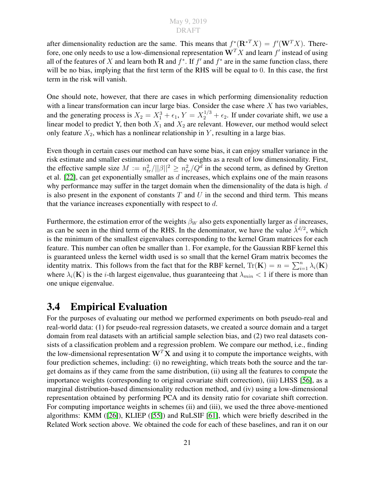after dimensionality reduction are the same. This means that  $f^*(\mathbf{R}^{*T}X) = f'(\mathbf{W}^T X)$ . Therefore, one only needs to use a low-dimensional representation  $\mathbf{W}^T X$  and learn  $f'$  instead of using all of the features of X and learn both R and  $f^*$ . If  $f'$  and  $f^*$  are in the same function class, there will be no bias, implying that the first term of the RHS will be equal to 0. In this case, the first term in the risk will vanish.

One should note, however, that there are cases in which performing dimensionality reduction with a linear transformation can incur large bias. Consider the case where  $X$  has two variables, and the generating process is  $X_2 = X_1^3 + \epsilon_1$ ,  $Y = X_2^{1/3} + \epsilon_2$ . If under covariate shift, we use a linear model to predict Y, then both  $X_1$  and  $X_2$  are relevant. However, our method would select only feature  $X_2$ , which has a nonlinear relationship in Y, resulting in a large bias.

Even though in certain cases our method can have some bias, it can enjoy smaller variance in the risk estimate and smaller estimation error of the weights as a result of low dimensionality. First, the effective sample size  $M := n_{tr}^2/||\beta||^2 \geq n_{tr}^2/Q^d$  in the second term, as defined by Gretton et al. [\[22\]](#page-49-5), can get exponentially smaller as  $d$  increases, which explains one of the main reasons why performance may suffer in the target domain when the dimensionality of the data is high.  $d$ is also present in the exponent of constants  $T$  and  $U$  in the second and third term. This means that the variance increases exponentially with respect to  $d$ .

Furthermore, the estimation error of the weights  $\beta_W$  also gets exponentially larger as d increases, as can be seen in the third term of the RHS. In the denominator, we have the value  $\tilde{\lambda}^{d/2}$ , which is the minimum of the smallest eigenvalues corresponding to the kernel Gram matrices for each feature. This number can often be smaller than 1. For example, for the Gaussian RBF kernel this is guaranteed unless the kernel width used is so small that the kernel Gram matrix becomes the identity matrix. This follows from the fact that for the RBF kernel,  $\text{Tr}(\mathbf{K}) = n = \sum_{i=1}^{n} \lambda_i(\mathbf{K})$ where  $\lambda_i(\mathbf{K})$  is the *i*-th largest eigenvalue, thus guaranteeing that  $\lambda_{min} < 1$  if there is more than one unique eigenvalue.

### <span id="page-30-0"></span>3.4 Empirical Evaluation

For the purposes of evaluating our method we performed experiments on both pseudo-real and real-world data: (1) for pseudo-real regression datasets, we created a source domain and a target domain from real datasets with an artificial sample selection bias, and (2) two real datasets consists of a classification problem and a regression problem. We compare our method, i.e., finding the low-dimensional representation  $W<sup>T</sup>X$  and using it to compute the importance weights, with four prediction schemes, including: (i) no reweighting, which treats both the source and the target domains as if they came from the same distribution, (ii) using all the features to compute the importance weights (corresponding to original covariate shift correction), (iii) LHSS [\[56\]](#page-52-9), as a marginal distribution-based dimensionality reduction method, and (iv) using a low-dimensional representation obtained by performing PCA and its density ratio for covariate shift correction. For computing importance weights in schemes (ii) and (iii), we used the three above-mentioned algorithms: KMM ([\[26\]](#page-50-7)), KLIEP ([\[55\]](#page-52-0)) and RuLSIF [\[61\]](#page-52-1), which were briefly described in the Related Work section above. We obtained the code for each of these baselines, and ran it on our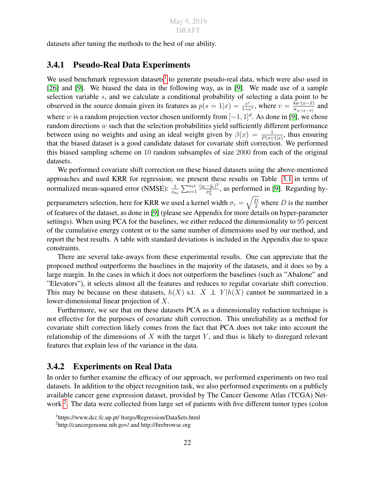datasets after tuning the methods to the best of our ability.

#### <span id="page-31-0"></span>3.4.1 Pseudo-Real Data Experiments

We used benchmark regression datasets<sup>[1](#page-31-2)</sup> to generate pseudo-real data, which were also used in [\[26\]](#page-50-7) and [\[9\]](#page-48-8). We biased the data in the following way, as in [9]. We made use of a sample selection variable s, and we calculate a conditional probability of selecting a data point to be observed in the source domain given its features as  $p(s = 1|x) = \frac{e^v}{1+t}$  $\frac{e^v}{1+e^v}$ , where  $v = \frac{4\overline{w}(x-\overline{x})}{\sigma_{w+(x-\overline{x})}}$  $\frac{4w \cdot (x-x)}{\sigma_{w \cdot (x-\bar{x})}}$  and where w is a random projection vector chosen uniformly from  $[-1, 1]^d$ . As done in [\[9\]](#page-48-8), we chose random directions w such that the selection probabilities yield sufficiently different performance between using no weights and using an ideal weight given by  $\beta(x) = \frac{1}{P(s=1|x)}$ , thus ensuring that the biased dataset is a good candidate dataset for covariate shift correction. We performed this biased sampling scheme on 10 random subsamples of size 2000 from each of the original datasets.

We performed covariate shift correction on these biased datasets using the above-mentioned approaches and used KRR for regression; we present these results on Table [3.1](#page-32-0) in terms of normalized mean-squared error (NMSE):  $\frac{1}{n_{te}} \sum_{i=1}^{n_{te}}$  $(y_i-\hat{y}_i)^2$  $\frac{-y_i}{\sigma_y^2}$ , as performed in [\[9\]](#page-48-8). Regarding hyperparameters selection, here for KRR we used a kernel width  $\sigma_r = \sqrt{\frac{D}{2}}$  where D is the number of features of the dataset, as done in [\[9\]](#page-48-8) (please see Appendix for more details on hyper-parameter settings). When using PCA for the baselines, we either reduced the dimensionality to 95 percent of the cumulative energy content or to the same number of dimensions used by our method, and report the best results. A table with standard deviations is included in the Appendix due to space constraints.

There are several take-aways from these experimental results. One can appreciate that the proposed method outperforms the baselines in the majority of the datasets, and it does so by a large margin. In the cases in which it does not outperform the baselines (such as "Abalone" and "Elevators"), it selects almost all the features and reduces to regular covariate shift correction. This may be because on these datasets,  $h(X)$  s.t.  $X \perp Y | h(X)$  cannot be summarized in a lower-dimensional linear projection of X.

Furthermore, we see that on these datasets PCA as a dimensionality reduction technique is not effective for the purposes of covariate shift correction. This unreliability as a method for covariate shift correction likely comes from the fact that PCA does not take into account the relationship of the dimensions of  $X$  with the target  $Y$ , and thus is likely to disregard relevant features that explain less of the variance in the data.

#### <span id="page-31-1"></span>3.4.2 Experiments on Real Data

In order to further examine the efficacy of our approach, we performed experiments on two real datasets. In addition to the object recognition task, we also performed experiments on a publicly available cancer gene expression dataset, provided by The Cancer Genome Atlas (TCGA) Net-work<sup>[2](#page-31-3)</sup>. The data were collected from large set of patients with five different tumor types (colon

<span id="page-31-2"></span><sup>1</sup>https://www.dcc.fc.up.pt/ ltorgo/Regression/DataSets.html

<span id="page-31-3"></span><sup>2</sup>http://cancergenome.nih.gov/ and http://firebrowse.org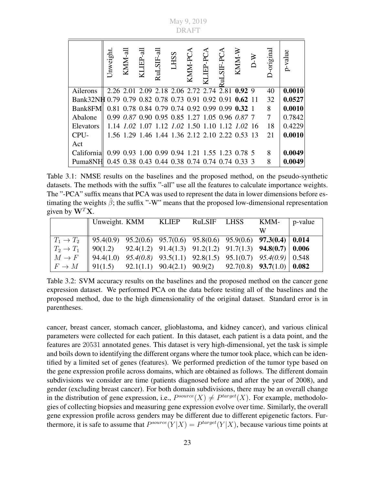<span id="page-32-1"></span><span id="page-32-0"></span>May 9, 2019 DRAFT

|                                                          | Unweight | KMM-all | $\text{KL}\text{EP-all}$                        | $\mathrm{RuLSIF}\text{-}\mathrm{all}$ | LHSS | KMM-PCA | KLIEP-PCA | RuLSIF-PCA | KMM-W | $D-W$ | -original | p-value |
|----------------------------------------------------------|----------|---------|-------------------------------------------------|---------------------------------------|------|---------|-----------|------------|-------|-------|-----------|---------|
| Ailerons                                                 |          |         | 2.26 2.01 2.09 2.18 2.06 2.72 2.74 2.81 0.92 9  |                                       |      |         |           |            |       |       | 40        | 0.0010  |
| Bank32NH 0.79 0.79 0.82 0.78 0.73 0.91 0.92 0.91 0.62 11 |          |         |                                                 |                                       |      |         |           |            |       |       | 32        | 0.0527  |
| Bank8FM                                                  |          |         | 0.81 0.78 0.84 0.79 0.74 0.92 0.99 0.99 0.32 1  |                                       |      |         |           |            |       |       | 8         | 0.0010  |
| Abalone                                                  |          |         | 0.99 0.87 0.90 0.95 0.85 1.27 1.05 0.96 0.87 7  |                                       |      |         |           |            |       |       | 7         | 0.7842  |
| Elevators                                                |          |         | 1.14 1.02 1.07 1.12 1.02 1.50 1.10 1.12 1.02 16 |                                       |      |         |           |            |       |       | 18        | 0.4229  |
| CPU-                                                     |          |         | 1.56 1.29 1.46 1.44 1.36 2.12 2.10 2.22 0.53 13 |                                       |      |         |           |            |       |       | 21        | 0.0010  |
| Act                                                      |          |         |                                                 |                                       |      |         |           |            |       |       |           |         |
| California                                               |          |         | 0.99 0.93 1.00 0.99 0.94 1.21 1.55 1.23 0.78 5  |                                       |      |         |           |            |       |       | 8         | 0.0049  |
| Puma8NH 0.45 0.38 0.43 0.44 0.38 0.74 0.74 0.74 0.33 3   |          |         |                                                 |                                       |      |         |           |            |       |       | 8         | 0.0049  |

Table 3.1: NMSE results on the baselines and the proposed method, on the pseudo-synthetic datasets. The methods with the suffix "-all" use all the features to calculate importance weights. The "-PCA" suffix means that PCA was used to represent the data in lower dimensions before estimating the weights  $\hat{\beta}$ ; the suffix "-W" means that the proposed low-dimensional representation given by  $W^T X$ .

|                                                                                                                                                                                                                                                                                                                                 | Unweight. KMM KLIEP RuLSIF LHSS KMM-   p-value |  |  |  |
|---------------------------------------------------------------------------------------------------------------------------------------------------------------------------------------------------------------------------------------------------------------------------------------------------------------------------------|------------------------------------------------|--|--|--|
|                                                                                                                                                                                                                                                                                                                                 |                                                |  |  |  |
|                                                                                                                                                                                                                                                                                                                                 |                                                |  |  |  |
|                                                                                                                                                                                                                                                                                                                                 |                                                |  |  |  |
|                                                                                                                                                                                                                                                                                                                                 |                                                |  |  |  |
| $\begin{array}{ l cccc c cccc } \hline T_1 \rightarrow T_2 & 95.4(0.9) & 95.2(0.6) & 95.7(0.6) & 95.8(0.6) & 95.9(0.6) & {\bf 97.3 (0.4)} & {\bf 0.014} \ \hline T_2 \rightarrow T_1 & 90(1.2) & 92.4(1.2) & 91.4(1.3) & 91.2(1.2) & 91.7(1.3) & {\bf 94.8 (0.7)} & {\bf 0.006} \ \hline M \rightarrow F & 94.4(1.0) & 95.4(0.$ |                                                |  |  |  |

Table 3.2: SVM accuracy results on the baselines and the proposed method on the cancer gene expression dataset. We performed PCA on the data before testing all of the baselines and the proposed method, due to the high dimensionality of the original dataset. Standard error is in parentheses.

cancer, breast cancer, stomach cancer, glioblastoma, and kidney cancer), and various clinical parameters were collected for each patient. In this dataset, each patient is a data point, and the features are 20531 annotated genes. This dataset is very high-dimensional, yet the task is simple and boils down to identifying the different organs where the tumor took place, which can be identified by a limited set of genes (features). We performed prediction of the tumor type based on the gene expression profile across domains, which are obtained as follows. The different domain subdivisions we consider are time (patients diagnosed before and after the year of 2008), and gender (excluding breast cancer). For both domain subdivisions, there may be an overall change in the distribution of gene expression, i.e.,  $P^{source}(X) \neq P^{target}(X)$ . For example, methodologies of collecting biopsies and measuring gene expression evolve over time. Similarly, the overall gene expression profile across genders may be different due to different epigenetic factors. Furthermore, it is safe to assume that  $P^{source}(Y|X) = P^{target}(Y|X)$ , because various time points at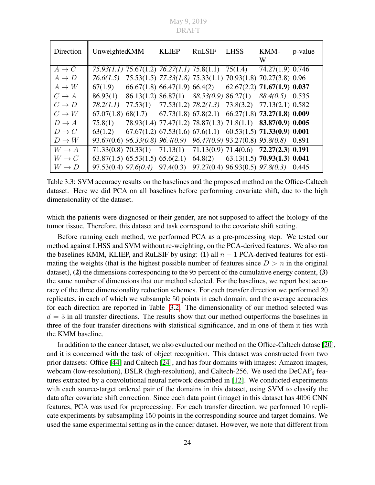<span id="page-33-0"></span>May 9, 2019 DRAFT

| Direction         | UnweightedKMM |                                                                                    | <b>KLIEP</b>                                                         | <b>RuLSIF</b> | <b>LHSS</b> | KMM-<br>W | p-value |
|-------------------|---------------|------------------------------------------------------------------------------------|----------------------------------------------------------------------|---------------|-------------|-----------|---------|
| $A \rightarrow C$ |               | 75.93(1.1) 75.67(1.2) 76.27(1.1) 75.8(1.1) 75(1.4) 74.27(1.9) 0.746                |                                                                      |               |             |           |         |
| $A \rightarrow D$ | 76.6(1.5)     | 75.53(1.5) 77.33(1.8) 75.33(1.1) 70.93(1.8) 70.27(3.8) 0.96                        |                                                                      |               |             |           |         |
| $A \to W$         |               | $67(1.9)$ $66.67(1.8)$ $66.47(1.9)$ $66.4(2)$ $62.67(2.2)$ <b>71.67(1.9) 0.037</b> |                                                                      |               |             |           |         |
| $C \rightarrow A$ |               | $86.93(1)$ $86.13(1.2)$ $86.87(1)$ $88.53(0.9)$ $86.27(1)$ $88.4(0.5)$ 0.535       |                                                                      |               |             |           |         |
| $C \to D$         | 78.2(1.1)     |                                                                                    | $77.53(1)$ $77.53(1.2)$ $78.2(1.3)$ $73.8(3.2)$ $77.13(2.1)$ $0.582$ |               |             |           |         |
| $C \to W$         |               | $67.07(1.8)$ $68(1.7)$ $67.73(1.8)$ $67.8(2.1)$ $66.27(1.8)$ $73.27(1.8)$ 0.009    |                                                                      |               |             |           |         |
| $D \to A$         |               | 75.8(1) 78.93(1.4) 77.47(1.2) 78.87(1.3) 71.8(1.1) 83.87(0.9) 0.005                |                                                                      |               |             |           |         |
| $D \to C$         |               | 63(1.2) 67.67(1.2) 67.53(1.6) 67.6(1.1) 60.53(1.5) <b>71.33(0.9) 0.001</b>         |                                                                      |               |             |           |         |
| $D \to W$         |               | $93.67(0.6)$ $96.33(0.8)$ $96.4(0.9)$ $96.47(0.9)$ $93.27(0.8)$ $95.8(0.8)$        |                                                                      |               |             |           | 0.891   |
| $W \to A$         |               | 71.33(0.8) 70.33(1) 71.13(1) 71.13(0.9) 71.4(0.6) 72.27(2.3) 0.191                 |                                                                      |               |             |           |         |
| $W \to C$         |               | 63.87(1.5) 65.53(1.5) 65.6(2.1) 64.8(2) 63.13(1.5) 70.93(1.3) 0.041                |                                                                      |               |             |           |         |
| $W \to D$         |               | $97.53(0.4)$ $97.6(0.4)$ $97.4(0.3)$ $97.27(0.4)$ $96.93(0.5)$ $97.8(0.3)$         |                                                                      |               |             |           | 0.445   |

Table 3.3: SVM accuracy results on the baselines and the proposed method on the Office-Caltech dataset. Here we did PCA on all baselines before performing covariate shift, due to the high dimensionality of the dataset.

which the patients were diagnosed or their gender, are not supposed to affect the biology of the tumor tissue. Therefore, this dataset and task correspond to the covariate shift setting.

Before running each method, we performed PCA as a pre-processing step. We tested our method against LHSS and SVM without re-weighting, on the PCA-derived features. We also ran the baselines KMM, KLIEP, and RuLSIF by using: (1) all  $n - 1$  PCA-derived features for estimating the weights (that is the highest possible number of features since  $D > n$  in the original dataset), (2) the dimensions corresponding to the 95 percent of the cumulative energy content, (3) the same number of dimensions that our method selected. For the baselines, we report best accuracy of the three dimensionality reduction schemes. For each transfer direction we performed 20 replicates, in each of which we subsample 50 points in each domain, and the average accuracies for each direction are reported in Table [3.2.](#page-32-1) The dimensionality of our method selected was  $d = 3$  in all transfer directions. The results show that our method outperforms the baselines in three of the four transfer directions with statistical significance, and in one of them it ties with the KMM baseline.

In addition to the cancer dataset, we also evaluated our method on the Office-Caltech datase [\[20\]](#page-49-9), and it is concerned with the task of object recognition. This dataset was constructed from two prior datasets: Office [\[44\]](#page-51-13) and Caltech [\[24\]](#page-50-8), and has four domains with images: Amazon images, webcam (low-resolution), DSLR (high-resolution), and Caltech-256. We used the  $DeCAF_6$  features extracted by a convolutional neural network described in [\[12\]](#page-49-10). We conducted experiments with each source-target ordered pair of the domains in this dataset, using SVM to classify the data after covariate shift correction. Since each data point (image) in this dataset has 4096 CNN features, PCA was used for preprocessing. For each transfer direction, we performed 10 replicate experiments by subsampling 150 points in the corresponding source and target domains. We used the same experimental setting as in the cancer dataset. However, we note that different from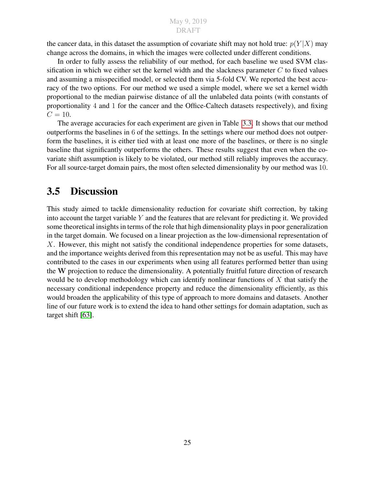the cancer data, in this dataset the assumption of covariate shift may not hold true:  $p(Y|X)$  may change across the domains, in which the images were collected under different conditions.

In order to fully assess the reliability of our method, for each baseline we used SVM classification in which we either set the kernel width and the slackness parameter  $C$  to fixed values and assuming a misspecified model, or selected them via 5-fold CV. We reported the best accuracy of the two options. For our method we used a simple model, where we set a kernel width proportional to the median pairwise distance of all the unlabeled data points (with constants of proportionality 4 and 1 for the cancer and the Office-Caltech datasets respectively), and fixing  $C = 10.$ 

The average accuracies for each experiment are given in Table [3.3.](#page-33-0) It shows that our method outperforms the baselines in 6 of the settings. In the settings where our method does not outperform the baselines, it is either tied with at least one more of the baselines, or there is no single baseline that significantly outperforms the others. These results suggest that even when the covariate shift assumption is likely to be violated, our method still reliably improves the accuracy. For all source-target domain pairs, the most often selected dimensionality by our method was 10.

### <span id="page-34-0"></span>3.5 Discussion

This study aimed to tackle dimensionality reduction for covariate shift correction, by taking into account the target variable  $Y$  and the features that are relevant for predicting it. We provided some theoretical insights in terms of the role that high dimensionality plays in poor generalization in the target domain. We focused on a linear projection as the low-dimensional representation of X. However, this might not satisfy the conditional independence properties for some datasets, and the importance weights derived from this representation may not be as useful. This may have contributed to the cases in our experiments when using all features performed better than using the W projection to reduce the dimensionality. A potentially fruitful future direction of research would be to develop methodology which can identify nonlinear functions of X that satisfy the necessary conditional independence property and reduce the dimensionality efficiently, as this would broaden the applicability of this type of approach to more domains and datasets. Another line of our future work is to extend the idea to hand other settings for domain adaptation, such as target shift [\[63\]](#page-52-2).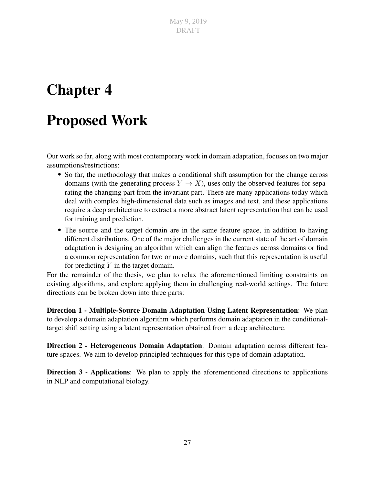# <span id="page-36-0"></span>Chapter 4

# Proposed Work

Our work so far, along with most contemporary work in domain adaptation, focuses on two major assumptions/restrictions:

- So far, the methodology that makes a conditional shift assumption for the change across domains (with the generating process  $Y \to X$ ), uses only the observed features for separating the changing part from the invariant part. There are many applications today which deal with complex high-dimensional data such as images and text, and these applications require a deep architecture to extract a more abstract latent representation that can be used for training and prediction.
- The source and the target domain are in the same feature space, in addition to having different distributions. One of the major challenges in the current state of the art of domain adaptation is designing an algorithm which can align the features across domains or find a common representation for two or more domains, such that this representation is useful for predicting  $Y$  in the target domain.

For the remainder of the thesis, we plan to relax the aforementioned limiting constraints on existing algorithms, and explore applying them in challenging real-world settings. The future directions can be broken down into three parts:

Direction 1 - Multiple-Source Domain Adaptation Using Latent Representation: We plan to develop a domain adaptation algorithm which performs domain adaptation in the conditionaltarget shift setting using a latent representation obtained from a deep architecture.

Direction 2 - Heterogeneous Domain Adaptation: Domain adaptation across different feature spaces. We aim to develop principled techniques for this type of domain adaptation.

Direction 3 - Applications: We plan to apply the aforementioned directions to applications in NLP and computational biology.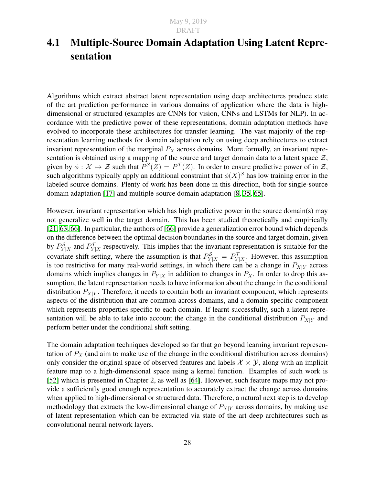## <span id="page-37-0"></span>4.1 Multiple-Source Domain Adaptation Using Latent Representation

Algorithms which extract abstract latent representation using deep architectures produce state of the art prediction performance in various domains of application where the data is highdimensional or structured (examples are CNNs for vision, CNNs and LSTMs for NLP). In accordance with the predictive power of these representations, domain adaptation methods have evolved to incorporate these architectures for transfer learning. The vast majority of the representation learning methods for domain adaptation rely on using deep architectures to extract invariant representation of the marginal  $P_X$  across domains. More formally, an invariant representation is obtained using a mapping of the source and target domain data to a latent space  $\mathcal{Z}$ , given by  $\phi: \mathcal{X} \mapsto \mathcal{Z}$  such that  $P^{\mathcal{S}}(Z) = P^{\mathcal{T}}(Z)$ . In order to ensure predictive power of in  $\mathcal{Z}$ , such algorithms typically apply an additional constraint that  $\phi(X)^S$  has low training error in the labeled source domains. Plenty of work has been done in this direction, both for single-source domain adaptation [\[17\]](#page-49-0) and multiple-source domain adaptation [\[8,](#page-48-1) [35,](#page-50-9) [65\]](#page-52-4).

However, invariant representation which has high predictive power in the source domain(s) may not generalize well in the target domain. This has been studied theoretically and empirically [\[21,](#page-49-1) [63,](#page-52-2) [66\]](#page-53-0). In particular, the authors of [\[66\]](#page-53-0) provide a generalization error bound which depends on the difference between the optimal decision boundaries in the source and target domain, given by  $P_{Y|X}^S$  and  $P_{Y|X}^T$  respectively. This implies that the invariant representation is suitable for the covariate shift setting, where the assumption is that  $P_{Y|X}^{\mathcal{S}} = P_{Y|X}^{\mathcal{T}}$ . However, this assumption is too restrictive for many real-world settings, in which there can be a change in  $P_{X|Y}$  across domains which implies changes in  $P_{Y|X}$  in addition to changes in  $P_X$ . In order to drop this assumption, the latent representation needs to have information about the change in the conditional distribution  $P_{X|Y}$ . Therefore, it needs to contain both an invariant component, which represents aspects of the distribution that are common across domains, and a domain-specific component which represents properties specific to each domain. If learnt successfully, such a latent representation will be able to take into account the change in the conditional distribution  $P_{X|Y}$  and perform better under the conditional shift setting.

The domain adaptation techniques developed so far that go beyond learning invariant representation of  $P_X$  (and aim to make use of the change in the conditional distribution across domains) only consider the original space of observed features and labels  $\mathcal{X} \times \mathcal{Y}$ , along with an implicit feature map to a high-dimensional space using a kernel function. Examples of such work is [\[52\]](#page-51-5) which is presented in Chapter 2, as well as [\[64\]](#page-52-3). However, such feature maps may not provide a sufficiently good enough representation to accurately extract the change across domains when applied to high-dimensional or structured data. Therefore, a natural next step is to develop methodology that extracts the low-dimensional change of  $P_{X|Y}$  across domains, by making use of latent representation which can be extracted via state of the art deep architectures such as convolutional neural network layers.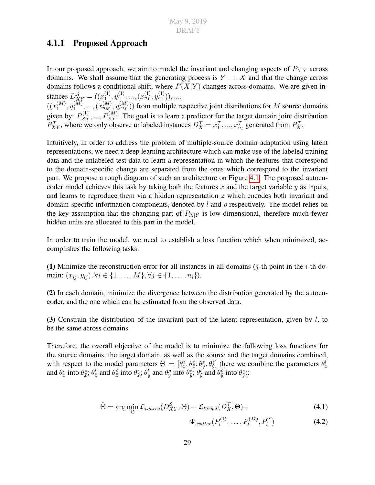### <span id="page-38-0"></span>4.1.1 Proposed Approach

In our proposed approach, we aim to model the invariant and changing aspects of  $P_{X|Y}$  across domains. We shall assume that the generating process is  $Y \to X$  and that the change across domains follows a conditional shift, where  $P(X|Y)$  changes across domains. We are given instances  $D_{XY}^{\mathcal{S}} = ((x_1^{(1)})$  $\overset{(1)}{1}, \overset{(1)}{y_1^{(1)}}$  $\binom{1}{1}, \ldots, \binom{x_{n_1}^{(1)}, y_{n_1}^{(1)})}, \ldots,$ 

 $\left( \binom{m}{1}^M \right)$  $\mathfrak{y}_1^{(M)},\mathfrak{y}_1^{(M)}$  $\{a_1^{(M)},..., (x_{n_M}^{(M)}, y_{n_M}^{(M)})\}$  from multiple respective joint distributions for  $M$  source domains given by:  $P_{XY}^{(1)},...,P_{XY}^{(M)}$ . The goal is to learn a predictor for the target domain joint distribution  $P_{XY}^{\mathcal{T}}$ , where we only observe unlabeled instances  $D_X^{\mathcal{T}} = x_1^{\mathcal{T}}, ..., x_{n_t}^{\mathcal{T}}$  generated from  $P_X^{\mathcal{T}}$ .

Intuitively, in order to address the problem of multiple-source domain adaptation using latent representations, we need a deep learning architecture which can make use of the labeled training data and the unlabeled test data to learn a representation in which the features that correspond to the domain-specific change are separated from the ones which correspond to the invariant part. We propose a rough diagram of such an architecture on Figure [4.1.](#page-39-0) The proposed autoencoder model achieves this task by taking both the features x and the target variable y as inputs, and learns to reproduce them via a hidden representation z which encodes both invariant and domain-specific information components, denoted by l and  $\rho$  respectively. The model relies on the key assumption that the changing part of  $P_{X|Y}$  is low-dimensional, therefore much fewer hidden units are allocated to this part in the model.

In order to train the model, we need to establish a loss function which when minimized, accomplishes the following tasks:

(1) Minimize the reconstruction error for all instances in all domains ( $i$ -th point in the  $i$ -th domain:  $(x_{ij}, y_{ij}), \forall i \in \{1, ..., M\}, \forall j \in \{1, ..., n_i\}.$ 

(2) In each domain, minimize the divergence between the distribution generated by the autoencoder, and the one which can be estimated from the observed data.

(3) Constrain the distribution of the invariant part of the latent representation, given by  $l$ , to be the same across domains.

Therefore, the overall objective of the model is to minimize the following loss functions for the source domains, the target domain, as well as the source and the target domains combined, with respect to the model parameters  $\Theta = [\theta_x^z, \theta_x^z, \theta_y^z, \theta_y^z]$  (here we combine the parameters  $\theta_x^l$ and  $\theta_x^{\rho}$  into  $\theta_{\tilde{x}}^z$ ;  $\theta_{\tilde{x}}^l$  and  $\theta_{\tilde{x}}^{\rho}$  $\theta_{\tilde{x}}^{\rho}$  into  $\theta_{\tilde{y}}^{z}$ ;  $\theta_{y}^{l}$  and  $\theta_{\tilde{y}}^{\rho}$  and  $\theta_{\tilde{y}}^{\rho}$  $\frac{\rho}{\tilde{y}}$  into  $\theta_{\tilde{y}}^z$ ):

$$
\hat{\Theta} = \arg\min_{\Theta} \mathcal{L}_{source}(D_{XY}^{\mathcal{S}}, \Theta) + \mathcal{L}_{target}(D_X^{\mathcal{T}}, \Theta) +
$$
\n(4.1)

 $\Psi_{scatter}(P_{l}^{(1)}% ,Q_{l}^{(2)}),Q_{l}^{(3)}$  $P_l^{(1)}, \ldots, P_l^{(M)}, P_l^{(1)}$  $(4.2)$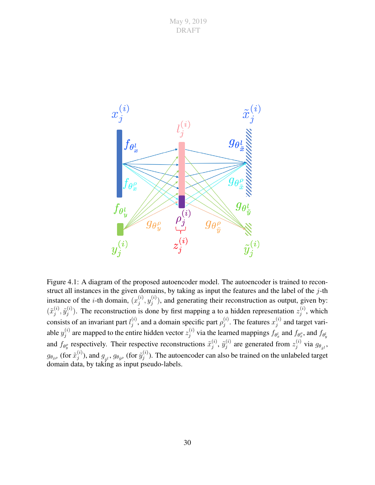

<span id="page-39-0"></span>Figure 4.1: A diagram of the proposed autoencoder model. The autoencoder is trained to reconstruct all instances in the given domains, by taking as input the features and the label of the j-th instance of the *i*-th domain,  $(x_i^{(i)})$  $\displaystyle{ \stackrel{(i)}{j},y_j^{(i)}}$  $j^{(i)}$ ), and generating their reconstruction as output, given by:  $(\tilde{x}_i^{(i)}$  $\widetilde{y}^{(i)}_j, \widetilde{y}^{(i)}_j$  $j^{(i)}$ ). The reconstruction is done by first mapping a to a hidden representation  $z_j^{(i)}$  $j^{(i)}$ , which consists of an invariant part  $l_i^{(i)}$  $j^{(i)}$ , and a domain specific part  $\rho_j^{(i)}$  $j^{(i)}$ . The features  $x_j^{(i)}$  $j^{(i)}$  and target variable  $y_i^{(i)}$  $j^{(i)}_j$  are mapped to the entire hidden vector  $z_j^{(i)}$  $j^{(i)}$  via the learned mappings  $f_{\theta_x^l}$  and  $f_{\theta_x^o}$ , and  $f_{\theta_y^l}$ and  $f_{\theta_y^{\rho}}$  respectively. Their respective reconstructions  $\tilde{x}_j^{(i)}$  $_j^{(i)},\,\tilde{y}_j^{(i)}$  $j_j^{(i)}$  are generated from  $z_j^{(i)}$  $j^{(i)}$  via  $g_{\theta_{\tilde{x}^l}}$ ,  $g_{\theta_{\tilde{x}^\rho}}$  (for  $\tilde{x}^{(i)}_j$  $j^{(i)}$ ), and  $g_{_{\tilde{y}^l}},$   $g_{\theta_{\tilde{y}^\rho}}$  (for  $\tilde{y}_j^{(i)}$  $j^{(i)}$ ). The autoencoder can also be trained on the unlabeled target domain data, by taking as input pseudo-labels.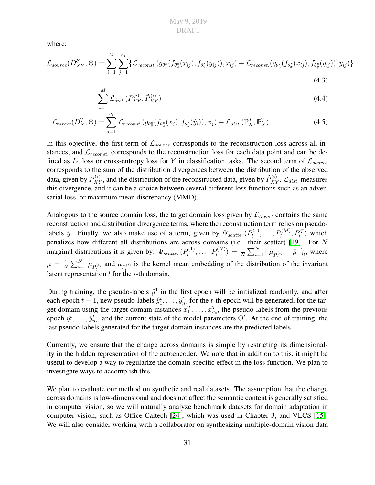where:

$$
\mathcal{L}_{source}(D_{XY}^{\mathcal{S}},\Theta) = \sum_{i=1}^{M} \sum_{j=1}^{n_i} \{ \mathcal{L}_{reconst.}(g_{\theta_{\tilde{x}}^z}(f_{\theta_{\tilde{x}}^z}(x_{ij}), f_{\theta_{\tilde{y}}^z}(y_{ij})), x_{ij}) + \mathcal{L}_{reconst.}(g_{\theta_{\tilde{y}}^z}(f_{\theta_{\tilde{x}}^z}(x_{ij}), f_{\theta_{\tilde{y}}^z}(y_{ij})), y_{ij}) \}
$$
\n(4.3)

<span id="page-40-0"></span>
$$
\sum_{i=1}^{M} \mathcal{L}_{dist.}(P_{XY}^{(i)}, \tilde{P}_{XY}^{(i)})
$$
\n(4.4)

$$
\mathcal{L}_{target}(D_X^{\mathcal{T}}, \Theta) = \sum_{j=1}^{n_t} \mathcal{L}_{reconst.}(g_{\theta_x^z}(f_{\theta_x^z}(x_j), f_{\theta_y^z}(\hat{y}_i)), x_j) + \mathcal{L}_{dist.}(\mathbb{P}_X^{\mathcal{T}}, \tilde{\mathbb{P}}_X^{\mathcal{T}})
$$
(4.5)

In this objective, the first term of  $\mathcal{L}_{source}$  corresponds to the reconstruction loss across all instances, and  $\mathcal{L}_{reconst.}$  corresponds to the reconstruction loss for each data point and can be defined as  $L_2$  loss or cross-entropy loss for Y in classification tasks. The second term of  $\mathcal{L}_{source}$ corresponds to the sum of the distribution divergences between the distribution of the observed data, given by  $P_{XY}^{(i)}$ , and the distribution of the reconstructed data, given by  $\tilde{P}_{XY}^{(i)}$ .  $\mathcal{L}_{dist.}$  measures this divergence, and it can be a choice between several different loss functions such as an adversarial loss, or maximum mean discrepancy (MMD).

Analogous to the source domain loss, the target domain loss given by  $\mathcal{L}_{target}$  contains the same reconstruction and distribution divergence terms, where the reconstruction term relies on pseudolabels  $\hat{y}$ . Finally, we also make use of a term, given by  $\Psi_{scatter}(P_l^{(1)})$  $P_l^{(1)}, \ldots, P_l^{(M)}, P_l^{\mathcal{T}}$  which penalizes how different all distributions are across domains (i.e. their scatter) [\[19\]](#page-49-11). For  $N$ marginal distributions it is given by:  $\Psi_{scatter}(P_l^{(1)})$  $l_1^{(1)},\ldots, P_l^{(N)}) = \frac{1}{N}\sum_{i=1}^N ||\mu_{P_l^{(i)}} - \bar{\mu}||_{{\mathcal H}}^2,$  where  $\bar{\mu} = \frac{1}{N}$  $\frac{1}{N}\sum_{i=1}^{N} \mu_{P_i^{(i)}}$  and  $\mu_{P_i^{(i)}}$  is the kernel mean embedding of the distribution of the invariant latent representation  $l$  for the  $i$ -th domain.

During training, the pseudo-labels  $\hat{y}^1$  in the first epoch will be initialized randomly, and after each epoch  $t-1$ , new pseudo-labels  $\hat{y}_1^t, \ldots, \hat{y}_{n_t}^t$  for the t-th epoch will be generated, for the target domain using the target domain instances  $x_1^{\mathcal{T}}, \ldots, x_{n_t}^{\mathcal{T}}$ , the pseudo-labels from the previous epoch  $\hat{y}_1^t, \ldots, \hat{y}_{n_t}^t$ , and the current state of the model parameters  $\Theta^t$ . At the end of training, the last pseudo-labels generated for the target domain instances are the predicted labels.

Currently, we ensure that the change across domains is simple by restricting its dimensionality in the hidden representation of the autoencoder. We note that in addition to this, it might be useful to develop a way to regularize the domain specific effect in the loss function. We plan to investigate ways to accomplish this.

We plan to evaluate our method on synthetic and real datasets. The assumption that the change across domains is low-dimensional and does not affect the semantic content is generally satisfied in computer vision, so we will naturally analyze benchmark datasets for domain adaptation in computer vision, such as Office-Caltech [\[24\]](#page-50-8), which was used in Chapter 3, and VLCS [\[15\]](#page-49-12). We will also consider working with a collaborator on synthesizing multiple-domain vision data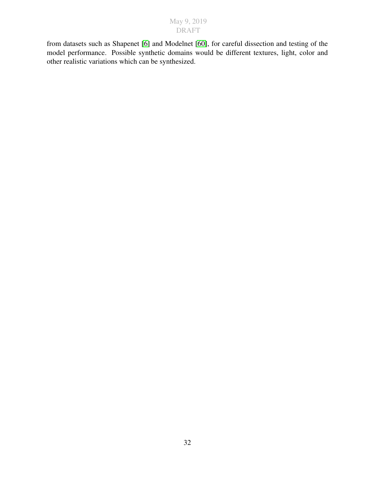from datasets such as Shapenet [\[6\]](#page-48-10) and Modelnet [\[60\]](#page-52-11), for careful dissection and testing of the model performance. Possible synthetic domains would be different textures, light, color and other realistic variations which can be synthesized.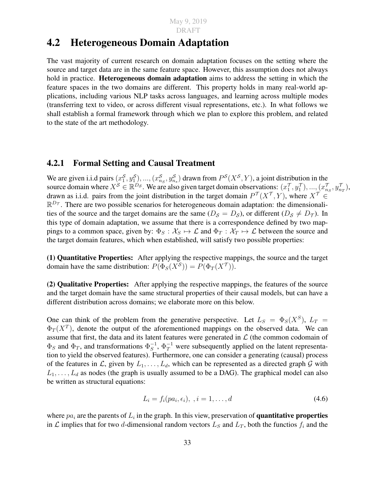### <span id="page-42-0"></span>4.2 Heterogeneous Domain Adaptation

The vast majority of current research on domain adaptation focuses on the setting where the source and target data are in the same feature space. However, this assumption does not always hold in practice. **Heterogeneous domain adaptation** aims to address the setting in which the feature spaces in the two domains are different. This property holds in many real-world applications, including various NLP tasks across languages, and learning across multiple modes (transferring text to video, or across different visual representations, etc.). In what follows we shall establish a formal framework through which we plan to explore this problem, and related to the state of the art methodology.

#### <span id="page-42-1"></span>4.2.1 Formal Setting and Causal Treatment

We are given i.i.d pairs  $(x_1^S, y_1^S, ..., (x_{n_S}^S, y_{n_S}^S)$  drawn from  $P^S(X^S, Y)$ , a joint distribution in the source domain where  $X^{\mathcal{S}} \in \mathbb{R}^{D_{\mathcal{S}}}$ . We are also given target domain observations:  $(x_1^{\mathcal{T}}, y_1^{\mathcal{T}}), ..., (x_{n_S}^{\mathcal{T}}, y_{n_T}^{\mathcal{T}})$ , drawn as i.i.d. pairs from the joint distribution in the target domain  $P^{\mathcal{T}}(X^{\mathcal{T}}, Y)$ , where  $X^{\mathcal{T}} \in$  $\mathbb{R}^{D_{\mathcal{T}}}$ . There are two possible scenarios for heterogeneous domain adaptation: the dimensionalities of the source and the target domains are the same  $(D<sub>S</sub> = D<sub>S</sub>)$ , or different  $(D<sub>S</sub> \neq D<sub>T</sub>)$ . In this type of domain adaptation, we assume that there is a correspondence defined by two mappings to a common space, given by:  $\Phi_S : \mathcal{X}_S \to \mathcal{L}$  and  $\Phi_T : \mathcal{X}_T \to \mathcal{L}$  between the source and the target domain features, which when established, will satisfy two possible properties:

(1) Quantitative Properties: After applying the respective mappings, the source and the target domain have the same distribution:  $P(\Phi_S(X^S)) = P(\Phi_T(X^T))$ .

(2) Qualitative Properties: After applying the respective mappings, the features of the source and the target domain have the same structural properties of their causal models, but can have a different distribution across domains; we elaborate more on this below.

One can think of the problem from the generative perspective. Let  $L_S = \Phi_S(X^S)$ ,  $L_T =$  $\Phi_T(X^T)$ , denote the output of the aforementioned mappings on the observed data. We can assume that first, the data and its latent features were generated in  $\mathcal L$  (the common codomain of  $\Phi_S$  and  $\Phi_T$ , and transformations  $\Phi_S^{-1}$  $S<sub>S</sub><sup>-1</sup>$ ,  $\Phi<sub>T</sub><sup>-1</sup>$  were subsequently applied on the latent representation to yield the observed features). Furthermore, one can consider a generating (causal) process of the features in L, given by  $L_1, \ldots, L_d$ , which can be represented as a directed graph G with  $L_1, \ldots, L_d$  as nodes (the graph is usually assumed to be a DAG). The graphical model can also be written as structural equations:

$$
L_i = f_i(pa_i, \epsilon_i), \quad i = 1, \dots, d \tag{4.6}
$$

where  $pa_i$  are the parents of  $L_i$  in the graph. In this view, preservation of **quantitative properties** in  $\mathcal L$  implies that for two d-dimensional random vectors  $L_S$  and  $L_T$ , both the functios  $f_i$  and the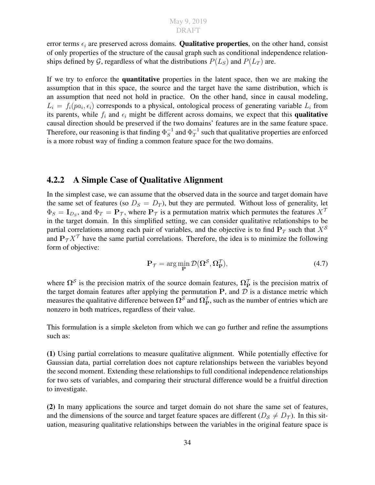error terms  $\epsilon_i$  are preserved across domains. **Qualitative properties**, on the other hand, consist of only properties of the structure of the causal graph such as conditional independence relationships defined by G, regardless of what the distributions  $P(L_S)$  and  $P(L_T)$  are.

If we try to enforce the quantitative properties in the latent space, then we are making the assumption that in this space, the source and the target have the same distribution, which is an assumption that need not hold in practice. On the other hand, since in causal modeling,  $L_i = f_i(pa_i, \epsilon_i)$  corresponds to a physical, ontological process of generating variable  $L_i$  from its parents, while  $f_i$  and  $\epsilon_i$  might be different across domains, we expect that this **qualitative** causal direction should be preserved if the two domains' features are in the same feature space. Therefore, our reasoning is that finding  $\Phi_S^{-1}$  $S^{-1}$  and  $\Phi_T^{-1}$  $T^1$  such that qualitative properties are enforced is a more robust way of finding a common feature space for the two domains.

#### <span id="page-43-0"></span>4.2.2 A Simple Case of Qualitative Alignment

In the simplest case, we can assume that the observed data in the source and target domain have the same set of features (so  $D_s = D_T$ ), but they are permuted. Without loss of generality, let  $\Phi_S = I_{D_S}$ , and  $\Phi_T = P_{\mathcal{T}}$ , where  $P_{\mathcal{T}}$  is a permutation matrix which permutes the features  $X^{\mathcal{T}}$ in the target domain. In this simplified setting, we can consider qualitative relationships to be partial correlations among each pair of variables, and the objective is to find  $P<sub>T</sub>$  such that  $X<sup>S</sup>$ and  $P_{\mathcal{T}} X^{\mathcal{T}}$  have the same partial correlations. Therefore, the idea is to minimize the following form of objective:

<span id="page-43-1"></span>
$$
\mathbf{P}_{\mathcal{T}} = \arg\min_{\mathbf{P}} \mathcal{D}(\mathbf{\Omega}^{\mathcal{S}}, \mathbf{\Omega}_{\mathbf{P}}^{\mathcal{T}}),\tag{4.7}
$$

where  $\Omega^{\mathcal{S}}$  is the precision matrix of the source domain features,  $\Omega_{\rm P}^{\mathcal{T}}$  is the precision matrix of the target domain features after applying the permutation  $P$ , and  $D$  is a distance metric which measures the qualitative difference between  $\Omega^{\cal S}$  and  $\Omega^{\cal T}_P$ , such as the number of entries which are nonzero in both matrices, regardless of their value.

This formulation is a simple skeleton from which we can go further and refine the assumptions such as:

(1) Using partial correlations to measure qualitative alignment. While potentially effective for Gaussian data, partial correlation does not capture relationships between the variables beyond the second moment. Extending these relationships to full conditional independence relationships for two sets of variables, and comparing their structural difference would be a fruitful direction to investigate.

(2) In many applications the source and target domain do not share the same set of features, and the dimensions of the source and target feature spaces are different ( $D_s \neq D_{\tau}$ ). In this situation, measuring qualitative relationships between the variables in the original feature space is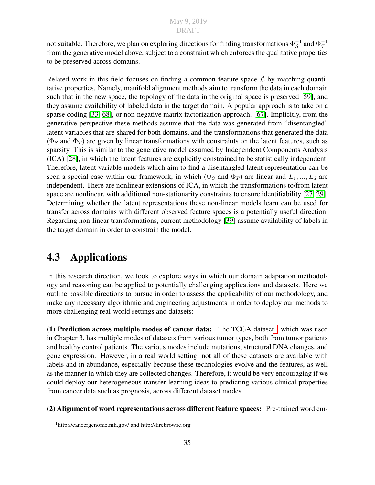not suitable. Therefore, we plan on exploring directions for finding transformations  $\Phi_S^{-1}$  $_{\mathcal{S}}^{-1}$  and  $\Phi_{\mathcal{T}}^{-1}$  $\tau$ from the generative model above, subject to a constraint which enforces the qualitative properties to be preserved across domains.

Related work in this field focuses on finding a common feature space  $\mathcal L$  by matching quantitative properties. Namely, manifold alignment methods aim to transform the data in each domain such that in the new space, the topology of the data in the original space is preserved [\[59\]](#page-52-12), and they assume availability of labeled data in the target domain. A popular approach is to take on a sparse coding [\[33,](#page-50-10) [68\]](#page-53-1), or non-negative matrix factorization approach. [\[67\]](#page-53-2). Implicitly, from the generative perspective these methods assume that the data was generated from "disentangled" latent variables that are shared for both domains, and the transformations that generated the data  $(\Phi_S$  and  $\Phi_T$ ) are given by linear transformations with constraints on the latent features, such as sparsity. This is similar to the generative model assumed by Independent Components Analysis (ICA) [\[28\]](#page-50-11), in which the latent features are explicitly constrained to be statistically independent. Therefore, latent variable models which aim to find a disentangled latent representation can be seen a special case within our framework, in which ( $\Phi_S$  and  $\Phi_T$ ) are linear and  $L_1, ..., L_d$  are independent. There are nonlinear extensions of ICA, in which the transformations to/from latent space are nonlinear, with additional non-stationarity constraints to ensure identifiability [\[27,](#page-50-12) [29\]](#page-50-13). Determining whether the latent representations these non-linear models learn can be used for transfer across domains with different observed feature spaces is a potentially useful direction. Regarding non-linear transformations, current methodology [\[39\]](#page-51-14) assume availability of labels in the target domain in order to constrain the model.

## <span id="page-44-0"></span>4.3 Applications

In this research direction, we look to explore ways in which our domain adaptation methodology and reasoning can be applied to potentially challenging applications and datasets. Here we outline possible directions to pursue in order to assess the applicability of our methodology, and make any necessary algorithmic and engineering adjustments in order to deploy our methods to more challenging real-world settings and datasets:

([1](#page-44-1)) Prediction across multiple modes of cancer data: The TCGA dataset<sup>1</sup>, which was used in Chapter 3, has multiple modes of datasets from various tumor types, both from tumor patients and healthy control patients. The various modes include mutations, structural DNA changes, and gene expression. However, in a real world setting, not all of these datasets are available with labels and in abundance, especially because these technologies evolve and the features, as well as the manner in which they are collected changes. Therefore, it would be very encouraging if we could deploy our heterogeneous transfer learning ideas to predicting various clinical properties from cancer data such as prognosis, across different dataset modes.

#### (2) Alignment of word representations across different feature spaces: Pre-trained word em-

<span id="page-44-1"></span><sup>1</sup>http://cancergenome.nih.gov/ and http://firebrowse.org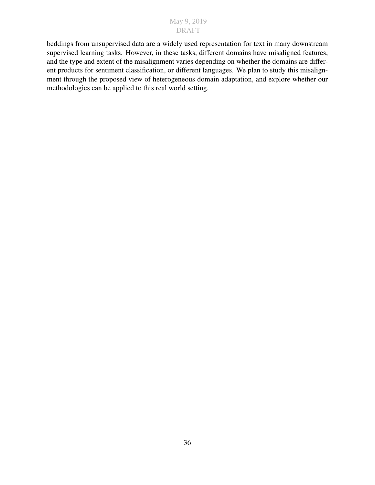beddings from unsupervised data are a widely used representation for text in many downstream supervised learning tasks. However, in these tasks, different domains have misaligned features, and the type and extent of the misalignment varies depending on whether the domains are different products for sentiment classification, or different languages. We plan to study this misalignment through the proposed view of heterogeneous domain adaptation, and explore whether our methodologies can be applied to this real world setting.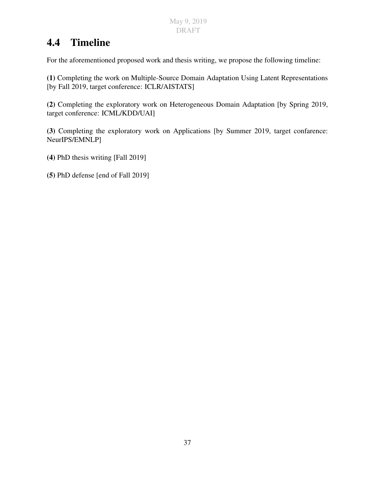## <span id="page-46-0"></span>4.4 Timeline

For the aforementioned proposed work and thesis writing, we propose the following timeline:

(1) Completing the work on Multiple-Source Domain Adaptation Using Latent Representations [by Fall 2019, target conference: ICLR/AISTATS]

(2) Completing the exploratory work on Heterogeneous Domain Adaptation [by Spring 2019, target conference: ICML/KDD/UAI]

(3) Completing the exploratory work on Applications [by Summer 2019, target confarence: NeurIPS/EMNLP]

- (4) PhD thesis writing [Fall 2019]
- (5) PhD defense [end of Fall 2019]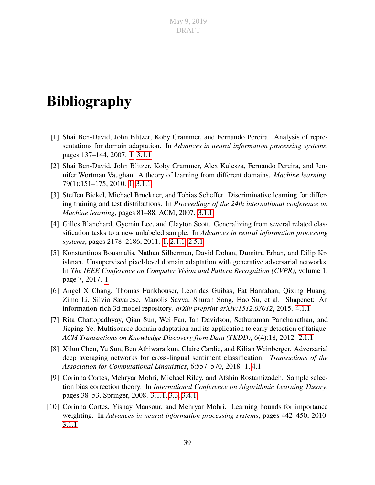## <span id="page-48-0"></span>Bibliography

- <span id="page-48-2"></span>[1] Shai Ben-David, John Blitzer, Koby Crammer, and Fernando Pereira. Analysis of representations for domain adaptation. In *Advances in neural information processing systems*, pages 137–144, 2007. [1,](#page-10-0) [3.1.1](#page-25-0)
- <span id="page-48-3"></span>[2] Shai Ben-David, John Blitzer, Koby Crammer, Alex Kulesza, Fernando Pereira, and Jennifer Wortman Vaughan. A theory of learning from different domains. *Machine learning*, 79(1):151–175, 2010. [1,](#page-10-0) [3.1.1](#page-25-0)
- <span id="page-48-7"></span>[3] Steffen Bickel, Michael Brückner, and Tobias Scheffer. Discriminative learning for differing training and test distributions. In *Proceedings of the 24th international conference on Machine learning*, pages 81–88. ACM, 2007. [3.1.1](#page-25-0)
- <span id="page-48-5"></span>[4] Gilles Blanchard, Gyemin Lee, and Clayton Scott. Generalizing from several related classification tasks to a new unlabeled sample. In *Advances in neural information processing systems*, pages 2178–2186, 2011. [1,](#page-10-0) [2.1.1,](#page-15-0) [2.5.1](#page-21-1)
- <span id="page-48-4"></span>[5] Konstantinos Bousmalis, Nathan Silberman, David Dohan, Dumitru Erhan, and Dilip Krishnan. Unsupervised pixel-level domain adaptation with generative adversarial networks. In *The IEEE Conference on Computer Vision and Pattern Recognition (CVPR)*, volume 1, page 7, 2017. [1](#page-10-0)
- <span id="page-48-10"></span>[6] Angel X Chang, Thomas Funkhouser, Leonidas Guibas, Pat Hanrahan, Qixing Huang, Zimo Li, Silvio Savarese, Manolis Savva, Shuran Song, Hao Su, et al. Shapenet: An information-rich 3d model repository. *arXiv preprint arXiv:1512.03012*, 2015. [4.1.1](#page-40-0)
- <span id="page-48-6"></span>[7] Rita Chattopadhyay, Qian Sun, Wei Fan, Ian Davidson, Sethuraman Panchanathan, and Jieping Ye. Multisource domain adaptation and its application to early detection of fatigue. *ACM Transactions on Knowledge Discovery from Data (TKDD)*, 6(4):18, 2012. [2.1.1](#page-15-0)
- <span id="page-48-1"></span>[8] Xilun Chen, Yu Sun, Ben Athiwaratkun, Claire Cardie, and Kilian Weinberger. Adversarial deep averaging networks for cross-lingual sentiment classification. *Transactions of the Association for Computational Linguistics*, 6:557–570, 2018. [1,](#page-10-0) [4.1](#page-37-0)
- <span id="page-48-8"></span>[9] Corinna Cortes, Mehryar Mohri, Michael Riley, and Afshin Rostamizadeh. Sample selection bias correction theory. In *International Conference on Algorithmic Learning Theory*, pages 38–53. Springer, 2008. [3.1.1,](#page-25-0) [3.3,](#page-28-0) [3.4.1](#page-31-0)
- <span id="page-48-9"></span>[10] Corinna Cortes, Yishay Mansour, and Mehryar Mohri. Learning bounds for importance weighting. In *Advances in neural information processing systems*, pages 442–450, 2010. [3.1.1](#page-25-0)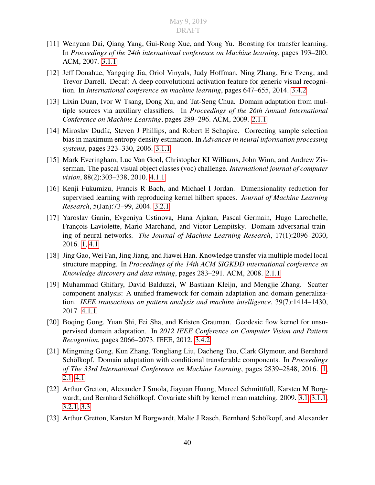- <span id="page-49-7"></span>[11] Wenyuan Dai, Qiang Yang, Gui-Rong Xue, and Yong Yu. Boosting for transfer learning. In *Proceedings of the 24th international conference on Machine learning*, pages 193–200. ACM, 2007. [3.1.1](#page-25-0)
- <span id="page-49-10"></span>[12] Jeff Donahue, Yangqing Jia, Oriol Vinyals, Judy Hoffman, Ning Zhang, Eric Tzeng, and Trevor Darrell. Decaf: A deep convolutional activation feature for generic visual recognition. In *International conference on machine learning*, pages 647–655, 2014. [3.4.2](#page-31-1)
- <span id="page-49-2"></span>[13] Lixin Duan, Ivor W Tsang, Dong Xu, and Tat-Seng Chua. Domain adaptation from multiple sources via auxiliary classifiers. In *Proceedings of the 26th Annual International Conference on Machine Learning*, pages 289–296. ACM, 2009. [2.1.1](#page-15-0)
- <span id="page-49-6"></span>[14] Miroslav Dudík, Steven J Phillips, and Robert E Schapire. Correcting sample selection bias in maximum entropy density estimation. In *Advances in neural information processing systems*, pages 323–330, 2006. [3.1.1](#page-25-0)
- <span id="page-49-12"></span>[15] Mark Everingham, Luc Van Gool, Christopher KI Williams, John Winn, and Andrew Zisserman. The pascal visual object classes (voc) challenge. *International journal of computer vision*, 88(2):303–338, 2010. [4.1.1](#page-40-0)
- <span id="page-49-8"></span>[16] Kenji Fukumizu, Francis R Bach, and Michael I Jordan. Dimensionality reduction for supervised learning with reproducing kernel hilbert spaces. *Journal of Machine Learning Research*, 5(Jan):73–99, 2004. [3.2.1](#page-27-0)
- <span id="page-49-0"></span>[17] Yaroslav Ganin, Evgeniya Ustinova, Hana Ajakan, Pascal Germain, Hugo Larochelle, François Laviolette, Mario Marchand, and Victor Lempitsky. Domain-adversarial training of neural networks. *The Journal of Machine Learning Research*, 17(1):2096–2030, 2016. [1,](#page-10-0) [4.1](#page-37-0)
- <span id="page-49-3"></span>[18] Jing Gao, Wei Fan, Jing Jiang, and Jiawei Han. Knowledge transfer via multiple model local structure mapping. In *Proceedings of the 14th ACM SIGKDD international conference on Knowledge discovery and data mining*, pages 283–291. ACM, 2008. [2.1.1](#page-15-0)
- <span id="page-49-11"></span>[19] Muhammad Ghifary, David Balduzzi, W Bastiaan Kleijn, and Mengjie Zhang. Scatter component analysis: A unified framework for domain adaptation and domain generalization. *IEEE transactions on pattern analysis and machine intelligence*, 39(7):1414–1430, 2017. [4.1.1](#page-40-0)
- <span id="page-49-9"></span>[20] Boqing Gong, Yuan Shi, Fei Sha, and Kristen Grauman. Geodesic flow kernel for unsupervised domain adaptation. In *2012 IEEE Conference on Computer Vision and Pattern Recognition*, pages 2066–2073. IEEE, 2012. [3.4.2](#page-31-1)
- <span id="page-49-1"></span>[21] Mingming Gong, Kun Zhang, Tongliang Liu, Dacheng Tao, Clark Glymour, and Bernhard Schölkopf. Domain adaptation with conditional transferable components. In *Proceedings of The 33rd International Conference on Machine Learning*, pages 2839–2848, 2016. [1,](#page-10-0) [2.1,](#page-14-1) [4.1](#page-37-0)
- <span id="page-49-5"></span>[22] Arthur Gretton, Alexander J Smola, Jiayuan Huang, Marcel Schmittfull, Karsten M Borg-wardt, and Bernhard Schölkopf. Covariate shift by kernel mean matching. 2009. [3.1,](#page-24-1) [3.1.1,](#page-25-0) [3.2.1,](#page-27-3) [3.3](#page-28-0)
- <span id="page-49-4"></span>[23] Arthur Gretton, Karsten M Borgwardt, Malte J Rasch, Bernhard Schölkopf, and Alexander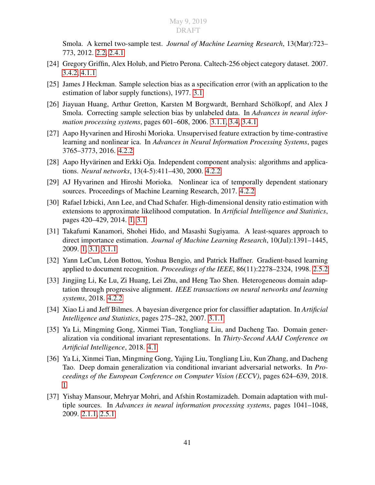Smola. A kernel two-sample test. *Journal of Machine Learning Research*, 13(Mar):723– 773, 2012. [2.2,](#page-17-1) [2.4.1](#page-18-1)

- <span id="page-50-8"></span>[24] Gregory Griffin, Alex Holub, and Pietro Perona. Caltech-256 object category dataset. 2007. [3.4.2,](#page-31-1) [4.1.1](#page-40-0)
- <span id="page-50-5"></span>[25] James J Heckman. Sample selection bias as a specification error (with an application to the estimation of labor supply functions), 1977. [3.1](#page-24-1)
- <span id="page-50-7"></span>[26] Jiayuan Huang, Arthur Gretton, Karsten M Borgwardt, Bernhard Schölkopf, and Alex J Smola. Correcting sample selection bias by unlabeled data. In *Advances in neural information processing systems*, pages 601–608, 2006. [3.1.1,](#page-25-0) [3.4,](#page-30-0) [3.4.1](#page-31-0)
- <span id="page-50-12"></span>[27] Aapo Hyvarinen and Hiroshi Morioka. Unsupervised feature extraction by time-contrastive learning and nonlinear ica. In *Advances in Neural Information Processing Systems*, pages 3765–3773, 2016. [4.2.2](#page-43-1)
- <span id="page-50-11"></span>[28] Aapo Hyvärinen and Erkki Oja. Independent component analysis: algorithms and applications. *Neural networks*, 13(4-5):411–430, 2000. [4.2.2](#page-43-1)
- <span id="page-50-13"></span>[29] AJ Hyvarinen and Hiroshi Morioka. Nonlinear ica of temporally dependent stationary sources. Proceedings of Machine Learning Research, 2017. [4.2.2](#page-43-1)
- <span id="page-50-0"></span>[30] Rafael Izbicki, Ann Lee, and Chad Schafer. High-dimensional density ratio estimation with extensions to approximate likelihood computation. In *Artificial Intelligence and Statistics*, pages 420–429, 2014. [1,](#page-10-0) [3.1](#page-24-1)
- <span id="page-50-1"></span>[31] Takafumi Kanamori, Shohei Hido, and Masashi Sugiyama. A least-squares approach to direct importance estimation. *Journal of Machine Learning Research*, 10(Jul):1391–1445, 2009. [1,](#page-10-0) [3.1,](#page-24-1) [3.1.1](#page-25-0)
- <span id="page-50-4"></span>[32] Yann LeCun, Léon Bottou, Yoshua Bengio, and Patrick Haffner. Gradient-based learning applied to document recognition. *Proceedings of the IEEE*, 86(11):2278–2324, 1998. [2.5.2](#page-22-0)
- <span id="page-50-10"></span>[33] Jingjing Li, Ke Lu, Zi Huang, Lei Zhu, and Heng Tao Shen. Heterogeneous domain adaptation through progressive alignment. *IEEE transactions on neural networks and learning systems*, 2018. [4.2.2](#page-43-1)
- <span id="page-50-6"></span>[34] Xiao Li and Jeff Bilmes. A bayesian divergence prior for classiffier adaptation. In *Artificial Intelligence and Statistics*, pages 275–282, 2007. [3.1.1](#page-25-0)
- <span id="page-50-9"></span>[35] Ya Li, Mingming Gong, Xinmei Tian, Tongliang Liu, and Dacheng Tao. Domain generalization via conditional invariant representations. In *Thirty-Second AAAI Conference on Artificial Intelligence*, 2018. [4.1](#page-37-0)
- <span id="page-50-2"></span>[36] Ya Li, Xinmei Tian, Mingming Gong, Yajing Liu, Tongliang Liu, Kun Zhang, and Dacheng Tao. Deep domain generalization via conditional invariant adversarial networks. In *Proceedings of the European Conference on Computer Vision (ECCV)*, pages 624–639, 2018. [1](#page-10-0)
- <span id="page-50-3"></span>[37] Yishay Mansour, Mehryar Mohri, and Afshin Rostamizadeh. Domain adaptation with multiple sources. In *Advances in neural information processing systems*, pages 1041–1048, 2009. [2.1.1,](#page-15-0) [2.5.1](#page-21-1)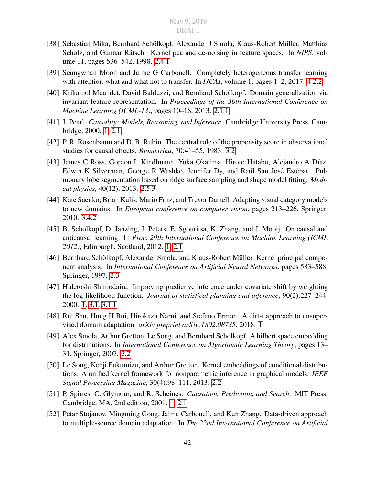- <span id="page-51-10"></span>[38] Sebastian Mika, Bernhard Schölkopf, Alexander J Smola, Klaus-Robert Müller, Matthias Scholz, and Gunnar Rätsch. Kernel pca and de-noising in feature spaces. In *NIPS*, volume 11, pages 536–542, 1998. [2.4.1](#page-19-2)
- <span id="page-51-14"></span>[39] Seungwhan Moon and Jaime G Carbonell. Completely heterogeneous transfer learning with attention-what and what not to transfer. In *IJCAI*, volume 1, pages 1–2, 2017. [4.2.2](#page-43-1)
- <span id="page-51-6"></span>[40] Krikamol Muandet, David Balduzzi, and Bernhard Schölkopf. Domain generalization via invariant feature representation. In *Proceedings of the 30th International Conference on Machine Learning (ICML-13)*, pages 10–18, 2013. [2.1.1](#page-15-0)
- <span id="page-51-2"></span>[41] J. Pearl. *Causality: Models, Reasoning, and Inference*. Cambridge University Press, Cambridge, 2000. [1,](#page-10-0) [2.1](#page-14-1)
- <span id="page-51-12"></span>[42] P. R. Rosenbaum and D. B. Rubin. The central role of the propensity score in observational studies for causal effects. *Biometrika*, 70:41–55, 1983. [3.2](#page-26-0)
- <span id="page-51-11"></span>[43] James C Ross, Gordon L Kindlmann, Yuka Okajima, Hiroto Hatabu, Alejandro A Díaz, Edwin K Silverman, George R Washko, Jennifer Dy, and Raúl San José Estépar. Pulmonary lobe segmentation based on ridge surface sampling and shape model fitting. *Medical physics*, 40(12), 2013. [2.5.3](#page-22-1)
- <span id="page-51-13"></span>[44] Kate Saenko, Brian Kulis, Mario Fritz, and Trevor Darrell. Adapting visual category models to new domains. In *European conference on computer vision*, pages 213–226. Springer, 2010. [3.4.2](#page-31-1)
- <span id="page-51-3"></span>[45] B. Schölkopf, D. Janzing, J. Peters, E. Sgouritsa, K. Zhang, and J. Mooij. On causal and anticausal learning. In *Proc. 29th International Conference on Machine Learning (ICML 2012)*, Edinburgh, Scotland, 2012. [1,](#page-10-0) [2.1](#page-14-1)
- <span id="page-51-9"></span>[46] Bernhard Schölkopf, Alexander Smola, and Klaus-Robert Müller. Kernel principal component analysis. In *International Conference on Artificial Neural Networks*, pages 583–588. Springer, 1997. [2.3](#page-17-0)
- <span id="page-51-0"></span>[47] Hidetoshi Shimodaira. Improving predictive inference under covariate shift by weighting the log-likelihood function. *Journal of statistical planning and inference*, 90(2):227–244, 2000. [1,](#page-10-0) [3.1,](#page-24-1) [3.1.1](#page-25-0)
- <span id="page-51-1"></span>[48] Rui Shu, Hung H Bui, Hirokazu Narui, and Stefano Ermon. A dirt-t approach to unsupervised domain adaptation. *arXiv preprint arXiv:1802.08735*, 2018. [1](#page-10-0)
- <span id="page-51-7"></span>[49] Alex Smola, Arthur Gretton, Le Song, and Bernhard Schölkopf. A hilbert space embedding for distributions. In *International Conference on Algorithmic Learning Theory*, pages 13– 31. Springer, 2007. [2.2](#page-16-1)
- <span id="page-51-8"></span>[50] Le Song, Kenji Fukumizu, and Arthur Gretton. Kernel embeddings of conditional distributions: A unified kernel framework for nonparametric inference in graphical models. *IEEE Signal Processing Magazine*, 30(4):98–111, 2013. [2.2](#page-17-1)
- <span id="page-51-4"></span>[51] P. Spirtes, C. Glymour, and R. Scheines. *Causation, Prediction, and Search*. MIT Press, Cambridge, MA, 2nd edition, 2001. [1,](#page-10-0) [2.1](#page-14-1)
- <span id="page-51-5"></span>[52] Petar Stojanov, Mingming Gong, Jaime Carbonell, and Kun Zhang. Data-driven approach to multiple-source domain adaptation. In *The 22nd International Conference on Artificial*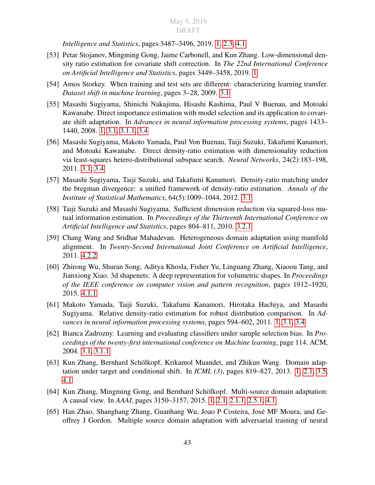*Intelligence and Statistics*, pages 3487–3496, 2019. [1,](#page-10-0) [2.3,](#page-17-0) [4.1](#page-37-0)

- <span id="page-52-5"></span>[53] Petar Stojanov, Mingming Gong, Jaime Carbonell, and Kun Zhang. Low-dimensional density ratio estimation for covariate shift correction. In *The 22nd International Conference on Artificial Intelligence and Statistics*, pages 3449–3458, 2019. [1](#page-10-0)
- <span id="page-52-6"></span>[54] Amos Storkey. When training and test sets are different: characterizing learning transfer. *Dataset shift in machine learning*, pages 3–28, 2009. [3.1](#page-24-1)
- <span id="page-52-0"></span>[55] Masashi Sugiyama, Shinichi Nakajima, Hisashi Kashima, Paul V Buenau, and Motoaki Kawanabe. Direct importance estimation with model selection and its application to covariate shift adaptation. In *Advances in neural information processing systems*, pages 1433– 1440, 2008. [1,](#page-10-0) [3.1,](#page-24-1) [3.1.1,](#page-25-0) [3.4](#page-30-0)
- <span id="page-52-9"></span>[56] Masashi Sugiyama, Makoto Yamada, Paul Von Buenau, Taiji Suzuki, Takafumi Kanamori, and Motoaki Kawanabe. Direct density-ratio estimation with dimensionality reduction via least-squares hetero-distributional subspace search. *Neural Networks*, 24(2):183–198, 2011. [3.1,](#page-24-1) [3.4](#page-30-0)
- <span id="page-52-8"></span>[57] Masashi Sugiyama, Taiji Suzuki, and Takafumi Kanamori. Density-ratio matching under the bregman divergence: a unified framework of density-ratio estimation. *Annals of the Institute of Statistical Mathematics*, 64(5):1009–1044, 2012. [3.1](#page-24-1)
- <span id="page-52-10"></span>[58] Taiji Suzuki and Masashi Sugiyama. Sufficient dimension reduction via squared-loss mutual information estimation. In *Proceedings of the Thirteenth International Conference on Artificial Intelligence and Statistics*, pages 804–811, 2010. [3.2.1](#page-27-0)
- <span id="page-52-12"></span>[59] Chang Wang and Sridhar Mahadevan. Heterogeneous domain adaptation using manifold alignment. In *Twenty-Second International Joint Conference on Artificial Intelligence*, 2011. [4.2.2](#page-43-1)
- <span id="page-52-11"></span>[60] Zhirong Wu, Shuran Song, Aditya Khosla, Fisher Yu, Linguang Zhang, Xiaoou Tang, and Jianxiong Xiao. 3d shapenets: A deep representation for volumetric shapes. In *Proceedings of the IEEE conference on computer vision and pattern recognition*, pages 1912–1920, 2015. [4.1.1](#page-40-0)
- <span id="page-52-1"></span>[61] Makoto Yamada, Taiji Suzuki, Takafumi Kanamori, Hirotaka Hachiya, and Masashi Sugiyama. Relative density-ratio estimation for robust distribution comparison. In *Advances in neural information processing systems*, pages 594–602, 2011. [1,](#page-10-0) [3.1,](#page-24-1) [3.4](#page-30-0)
- <span id="page-52-7"></span>[62] Bianca Zadrozny. Learning and evaluating classifiers under sample selection bias. In *Proceedings of the twenty-first international conference on Machine learning*, page 114. ACM, 2004. [3.1,](#page-24-1) [3.1.1](#page-25-0)
- <span id="page-52-2"></span>[63] Kun Zhang, Bernhard Schölkopf, Krikamol Muandet, and Zhikun Wang. Domain adaptation under target and conditional shift. In *ICML (3)*, pages 819–827, 2013. [1,](#page-10-0) [2.1,](#page-14-1) [3.5,](#page-34-0) [4.1](#page-37-0)
- <span id="page-52-3"></span>[64] Kun Zhang, Mingming Gong, and Bernhard Schölkopf. Multi-source domain adaptation: A causal view. In *AAAI*, pages 3150–3157, 2015. [1,](#page-10-0) [2.1,](#page-14-1) [2.1.1,](#page-15-0) [2.5.1,](#page-21-1) [4.1](#page-37-0)
- <span id="page-52-4"></span>[65] Han Zhao, Shanghang Zhang, Guanhang Wu, Joao P Costeira, José MF Moura, and Geoffrey J Gordon. Multiple source domain adaptation with adversarial training of neural